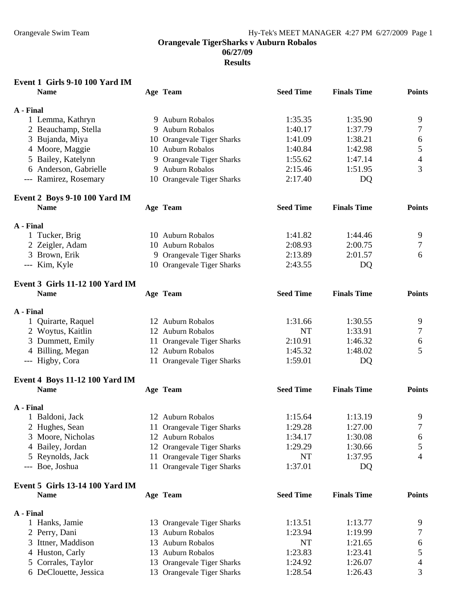**06/27/09** 

**Results** 

# **Event 1 Girls 9-10 100 Yard IM**

|           | <b>Name</b>                            | Age Team                   | <b>Seed Time</b> | <b>Finals Time</b> | <b>Points</b>    |
|-----------|----------------------------------------|----------------------------|------------------|--------------------|------------------|
| A - Final |                                        |                            |                  |                    |                  |
|           | 1 Lemma, Kathryn                       | 9 Auburn Robalos           | 1:35.35          | 1:35.90            | 9                |
|           | 2 Beauchamp, Stella                    | 9 Auburn Robalos           | 1:40.17          | 1:37.79            | 7                |
|           | 3 Bujanda, Miya                        | 10 Orangevale Tiger Sharks | 1:41.09          | 1:38.21            | 6                |
|           | 4 Moore, Maggie                        | 10 Auburn Robalos          | 1:40.84          | 1:42.98            | 5                |
|           | 5 Bailey, Katelynn                     | 9 Orangevale Tiger Sharks  | 1:55.62          | 1:47.14            | $\overline{4}$   |
|           | 6 Anderson, Gabrielle                  | 9 Auburn Robalos           | 2:15.46          | 1:51.95            | 3                |
|           | --- Ramirez, Rosemary                  | 10 Orangevale Tiger Sharks | 2:17.40          | DQ                 |                  |
|           | Event 2 Boys 9-10 100 Yard IM          |                            |                  |                    |                  |
|           | <b>Name</b>                            | Age Team                   | <b>Seed Time</b> | <b>Finals Time</b> | <b>Points</b>    |
| A - Final |                                        |                            |                  |                    |                  |
|           | 1 Tucker, Brig                         | 10 Auburn Robalos          | 1:41.82          | 1:44.46            | 9                |
|           | 2 Zeigler, Adam                        | 10 Auburn Robalos          | 2:08.93          | 2:00.75            | 7                |
|           | 3 Brown, Erik                          | 9 Orangevale Tiger Sharks  | 2:13.89          | 2:01.57            | 6                |
|           | --- Kim, Kyle                          | 10 Orangevale Tiger Sharks | 2:43.55          | DQ                 |                  |
|           | <b>Event 3 Girls 11-12 100 Yard IM</b> |                            |                  |                    |                  |
|           | <b>Name</b>                            | Age Team                   | <b>Seed Time</b> | <b>Finals Time</b> | <b>Points</b>    |
| A - Final |                                        |                            |                  |                    |                  |
|           | 1 Quirarte, Raquel                     | 12 Auburn Robalos          | 1:31.66          | 1:30.55            | 9                |
|           | 2 Woytus, Kaitlin                      | 12 Auburn Robalos          | <b>NT</b>        | 1:33.91            | 7                |
|           | 3 Dummett, Emily                       | 11 Orangevale Tiger Sharks | 2:10.91          | 1:46.32            | 6                |
|           | 4 Billing, Megan                       | 12 Auburn Robalos          | 1:45.32          | 1:48.02            | 5                |
|           | --- Higby, Cora                        | 11 Orangevale Tiger Sharks | 1:59.01          | DQ                 |                  |
|           | Event 4 Boys 11-12 100 Yard IM         |                            |                  |                    |                  |
|           | <b>Name</b>                            | Age Team                   | <b>Seed Time</b> | <b>Finals Time</b> | <b>Points</b>    |
| A - Final |                                        |                            |                  |                    |                  |
|           | 1 Baldoni, Jack                        | 12 Auburn Robalos          | 1:15.64          | 1:13.19            | 9                |
|           | 2 Hughes, Sean                         | 11 Orangevale Tiger Sharks | 1:29.28          | 1:27.00            | 7                |
|           | 3 Moore, Nicholas                      | 12 Auburn Robalos          | 1:34.17          | 1:30.08            | $\boldsymbol{6}$ |
|           | 4 Bailey, Jordan                       | 12 Orangevale Tiger Sharks | 1:29.29          | 1:30.66            | 5                |
|           | 5 Reynolds, Jack                       | 11 Orangevale Tiger Sharks | NT               | 1:37.95            | $\overline{4}$   |
|           | --- Boe, Joshua                        | 11 Orangevale Tiger Sharks | 1:37.01          | DQ                 |                  |
|           | <b>Event 5 Girls 13-14 100 Yard IM</b> |                            |                  |                    |                  |
|           | <b>Name</b>                            | Age Team                   | <b>Seed Time</b> | <b>Finals Time</b> | <b>Points</b>    |
| A - Final |                                        |                            |                  |                    |                  |
|           | 1 Hanks, Jamie                         | 13 Orangevale Tiger Sharks | 1:13.51          | 1:13.77            | 9                |
|           | 2 Perry, Dani                          | 13 Auburn Robalos          | 1:23.94          | 1:19.99            | 7                |
|           | 3 Ittner, Maddison                     | 13 Auburn Robalos          | NT               | 1:21.65            | 6                |
|           | 4 Huston, Carly                        | 13 Auburn Robalos          | 1:23.83          | 1:23.41            | 5                |
|           | 5 Corrales, Taylor                     | 13 Orangevale Tiger Sharks | 1:24.92          | 1:26.07            | 4                |
|           | 6 DeClouette, Jessica                  | 13 Orangevale Tiger Sharks | 1:28.54          | 1:26.43            | 3                |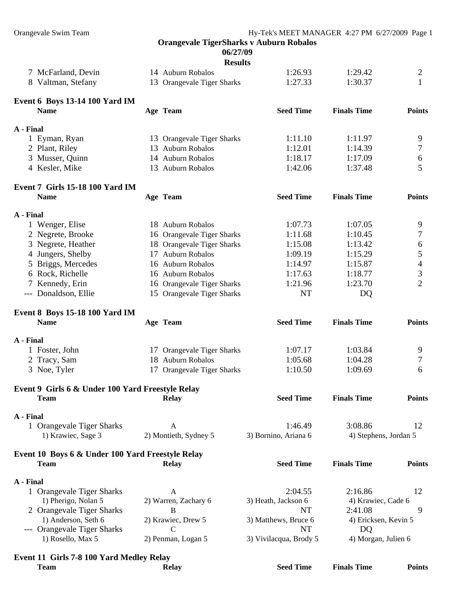**06/27/09** 

|           |                                                  | <b>Results</b>             |                        |                       |                |
|-----------|--------------------------------------------------|----------------------------|------------------------|-----------------------|----------------|
|           | 7 McFarland, Devin                               | 14 Auburn Robalos          | 1:26.93                | 1:29.42               | 2              |
|           | 8 Valtman, Stefany                               | 13 Orangevale Tiger Sharks | 1:27.33                | 1:30.37               | 1              |
|           | <b>Event 6 Boys 13-14 100 Yard IM</b>            |                            |                        |                       |                |
|           | <b>Name</b>                                      | Age Team                   | <b>Seed Time</b>       | <b>Finals Time</b>    | <b>Points</b>  |
| A - Final |                                                  |                            |                        |                       |                |
|           | 1 Eyman, Ryan                                    | 13 Orangevale Tiger Sharks | 1:11.10                | 1:11.97               | 9              |
|           | 2 Plant, Riley                                   | 13 Auburn Robalos          | 1:12.01                | 1:14.39               | 7              |
|           | 3 Musser, Quinn                                  | 14 Auburn Robalos          | 1:18.17                | 1:17.09               | 6              |
|           | 4 Kesler, Mike                                   | 13 Auburn Robalos          | 1:42.06                | 1:37.48               | 5              |
|           | Event 7 Girls 15-18 100 Yard IM                  |                            |                        |                       |                |
|           | <b>Name</b>                                      | Age Team                   | <b>Seed Time</b>       | <b>Finals Time</b>    | <b>Points</b>  |
| A - Final |                                                  |                            |                        |                       |                |
|           | 1 Wenger, Elise                                  | 18 Auburn Robalos          | 1:07.73                | 1:07.05               | 9              |
|           | 2 Negrete, Brooke                                | 16 Orangevale Tiger Sharks | 1:11.68                | 1:10.45               | 7              |
|           | 3 Negrete, Heather                               | 18 Orangevale Tiger Sharks | 1:15.08                | 1:13.42               | 6              |
|           | 4 Jungers, Shelby                                | 17 Auburn Robalos          | 1:09.19                | 1:15.29               | 5              |
|           | 5 Briggs, Mercedes                               | 16 Auburn Robalos          | 1:14.97                | 1:15.87               | 4              |
|           | 6 Rock, Richelle                                 | 16 Auburn Robalos          | 1:17.63                | 1:18.77               | 3              |
|           | 7 Kennedy, Erin                                  | 16 Orangevale Tiger Sharks | 1:21.96                | 1:23.70               | $\overline{2}$ |
|           | --- Donaldson, Ellie                             | 15 Orangevale Tiger Sharks | <b>NT</b>              | DQ                    |                |
|           | <b>Event 8 Boys 15-18 100 Yard IM</b>            |                            |                        |                       |                |
|           | <b>Name</b>                                      | Age Team                   | <b>Seed Time</b>       | <b>Finals Time</b>    | <b>Points</b>  |
| A - Final |                                                  |                            |                        |                       |                |
|           | 1 Foster, John                                   | 17 Orangevale Tiger Sharks | 1:07.17                | 1:03.84               | 9              |
|           | 2 Tracy, Sam                                     | 18 Auburn Robalos          | 1:05.68                | 1:04.28               | 7              |
|           | 3 Noe, Tyler                                     | 17 Orangevale Tiger Sharks | 1:10.50                | 1:09.69               | 6              |
|           | Event 9 Girls 6 & Under 100 Yard Freestyle Relay |                            |                        |                       |                |
|           | <b>Team</b>                                      | <b>Relay</b>               | <b>Seed Time</b>       | <b>Finals Time</b>    | <b>Points</b>  |
|           |                                                  |                            |                        |                       |                |
| A - Final | 1 Orangevale Tiger Sharks                        | A                          | 1:46.49                | 3:08.86               | 12             |
|           | 1) Krawiec, Sage 3                               | 2) Montieth, Sydney 5      | 3) Bornino, Ariana 6   | 4) Stephens, Jordan 5 |                |
|           | Event 10 Boys 6 & Under 100 Yard Freestyle Relay |                            |                        |                       |                |
|           | <b>Team</b>                                      | <b>Relay</b>               | <b>Seed Time</b>       | <b>Finals Time</b>    | <b>Points</b>  |
| A - Final |                                                  |                            |                        |                       |                |
|           | 1 Orangevale Tiger Sharks                        | A                          | 2:04.55                | 2:16.86               | 12             |
|           | 1) Pherigo, Nolan 5                              | 2) Warren, Zachary 6       | 3) Heath, Jackson 6    | 4) Krawiec, Cade 6    |                |
|           | 2 Orangevale Tiger Sharks                        | B                          | NT                     | 2:41.08               | 9              |
|           | 1) Anderson, Seth 6                              | 2) Krawiec, Drew 5         | 3) Matthews, Bruce 6   | 4) Ericksen, Kevin 5  |                |
|           | --- Orangevale Tiger Sharks                      | $\mathcal{C}$              | NT                     | DQ                    |                |
|           | 1) Rosello, Max 5                                | 2) Penman, Logan 5         | 3) Vivilacqua, Brody 5 | 4) Morgan, Julien 6   |                |
|           | Event 11 Girls 7-8 100 Yard Medley Relay         |                            |                        |                       |                |
|           | <b>Team</b>                                      | <b>Relay</b>               | <b>Seed Time</b>       | <b>Finals Time</b>    | <b>Points</b>  |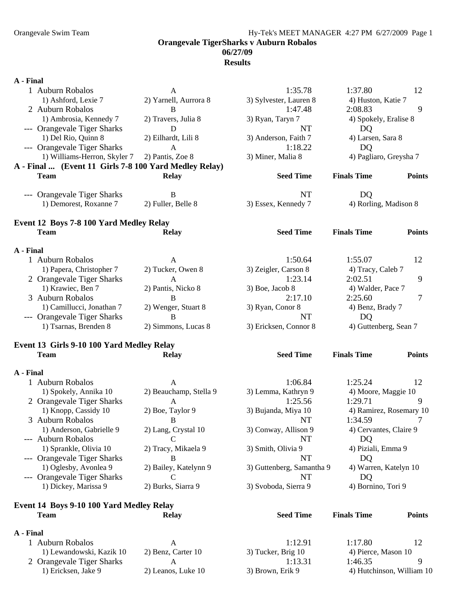#### Orangevale Swim Team Hy-Tek's MEET MANAGER 4:27 PM 6/27/2009 Page 1 **Orangevale TigerSharks v Auburn Robalos 06/27/09 Results**

#### **A - Final**

| 1 Auburn Robalos                                      | A                      | 1:35.78                   | 1:37.80                 | 12                        |
|-------------------------------------------------------|------------------------|---------------------------|-------------------------|---------------------------|
| 1) Ashford, Lexie 7                                   | 2) Yarnell, Aurrora 8  | 3) Sylvester, Lauren 8    | 4) Huston, Katie 7      |                           |
| 2 Auburn Robalos                                      | B                      | 1:47.48                   | 2:08.83                 | 9                         |
| 1) Ambrosia, Kennedy 7                                | 2) Travers, Julia 8    | 3) Ryan, Taryn 7          | 4) Spokely, Eralise 8   |                           |
| --- Orangevale Tiger Sharks                           | D                      | NT                        | DQ                      |                           |
| 1) Del Rio, Quinn 8                                   | 2) Eilhardt, Lili 8    | 3) Anderson, Faith 7      | 4) Larsen, Sara 8       |                           |
| --- Orangevale Tiger Sharks                           | $\mathbf{A}$           | 1:18.22                   | DQ                      |                           |
| 1) Williams-Herron, Skyler 7                          | 2) Pantis, Zoe 8       | 3) Miner, Malia 8         | 4) Pagliaro, Greysha 7  |                           |
| A - Final  (Event 11 Girls 7-8 100 Yard Medley Relay) |                        |                           |                         |                           |
| <b>Team</b>                                           | <b>Relay</b>           | <b>Seed Time</b>          | <b>Finals Time</b>      | <b>Points</b>             |
| --- Orangevale Tiger Sharks                           | B                      | NT                        | DQ                      |                           |
| 1) Demorest, Roxanne 7                                | 2) Fuller, Belle 8     | 3) Essex, Kennedy 7       | 4) Rorling, Madison 8   |                           |
| Event 12 Boys 7-8 100 Yard Medley Relay               |                        |                           |                         |                           |
| <b>Team</b>                                           | <b>Relay</b>           | <b>Seed Time</b>          | <b>Finals Time</b>      | <b>Points</b>             |
| A - Final                                             |                        |                           |                         |                           |
| 1 Auburn Robalos                                      | A                      | 1:50.64                   | 1:55.07                 | 12                        |
| 1) Papera, Christopher 7                              | 2) Tucker, Owen 8      | 3) Zeigler, Carson 8      | 4) Tracy, Caleb 7       |                           |
| 2 Orangevale Tiger Sharks                             | $\mathbf{A}$           | 1:23.14                   | 2:02.51                 | 9                         |
| 1) Krawiec, Ben 7                                     | 2) Pantis, Nicko 8     | 3) Boe, Jacob 8           | 4) Walder, Pace 7       |                           |
| 3 Auburn Robalos                                      | $\bf{B}$               | 2:17.10                   | 2:25.60                 | $\tau$                    |
| 1) Camillucci, Jonathan 7                             | 2) Wenger, Stuart 8    | 3) Ryan, Conor 8          | 4) Benz, Brady 7        |                           |
| --- Orangevale Tiger Sharks                           | $\bf{B}$               | <b>NT</b>                 | DQ                      |                           |
| 1) Tsarnas, Brenden 8                                 | 2) Simmons, Lucas 8    | 3) Ericksen, Connor 8     | 4) Guttenberg, Sean 7   |                           |
| Event 13 Girls 9-10 100 Yard Medley Relay             |                        |                           |                         |                           |
| <b>Team</b>                                           | <b>Relay</b>           | <b>Seed Time</b>          | <b>Finals Time</b>      | <b>Points</b>             |
| A - Final                                             |                        |                           |                         |                           |
| 1 Auburn Robalos                                      | $\mathbf{A}$           | 1:06.84                   | 1:25.24                 | 12                        |
| 1) Spokely, Annika 10                                 | 2) Beauchamp, Stella 9 | 3) Lemma, Kathryn 9       | 4) Moore, Maggie 10     |                           |
| 2 Orangevale Tiger Sharks                             | $\mathbf{A}$           | 1:25.56                   | 1:29.71                 | 9                         |
| 1) Knopp, Cassidy 10                                  | 2) Boe, Taylor 9       | 3) Bujanda, Miya 10       | 4) Ramirez, Rosemary 10 |                           |
| 3 Auburn Robalos                                      | B                      | <b>NT</b>                 | 1:34.59                 | 7                         |
| 1) Anderson, Gabrielle 9                              | 2) Lang, Crystal 10    | 3) Conway, Allison 9      | 4) Cervantes, Claire 9  |                           |
| --- Auburn Robalos                                    | $\mathcal{C}$          | <b>NT</b>                 | DQ                      |                           |
| 1) Sprankle, Olivia 10                                | 2) Tracy, Mikaela 9    | 3) Smith, Olivia 9        | 4) Piziali, Emma 9      |                           |
| --- Orangevale Tiger Sharks                           | В                      | NT                        | DQ                      |                           |
| 1) Oglesby, Avonlea 9                                 | 2) Bailey, Katelynn 9  | 3) Guttenberg, Samantha 9 | 4) Warren, Katelyn 10   |                           |
| --- Orangevale Tiger Sharks                           | C                      | NT                        | DQ                      |                           |
| 1) Dickey, Marissa 9                                  | 2) Burks, Siarra 9     | 3) Svoboda, Sierra 9      | 4) Bornino, Tori 9      |                           |
| Event 14 Boys 9-10 100 Yard Medley Relay              |                        |                           |                         |                           |
| <b>Team</b>                                           | <b>Relay</b>           | <b>Seed Time</b>          | <b>Finals Time</b>      | <b>Points</b>             |
| A - Final                                             |                        |                           |                         |                           |
| 1 Auburn Robalos                                      | A                      | 1:12.91                   | 1:17.80                 | 12                        |
| 1) Lewandowski, Kazik 10                              | 2) Benz, Carter 10     | 3) Tucker, Brig 10        | 4) Pierce, Mason 10     |                           |
| 2 Orangevale Tiger Sharks                             | A                      | 1:13.31                   | 1:46.35                 | 9                         |
| 1) Ericksen, Jake 9                                   | 2) Leanos, Luke 10     | 3) Brown, Erik 9          |                         | 4) Hutchinson, William 10 |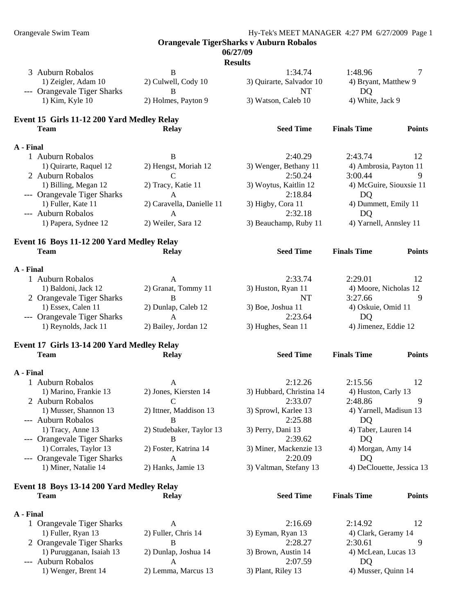#### **06/27/09**

| п<br>г<br>ı |  |
|-------------|--|

|                                            |                           | <b>Results</b>           |                           |               |
|--------------------------------------------|---------------------------|--------------------------|---------------------------|---------------|
| 3 Auburn Robalos                           | B                         | 1:34.74                  | 1:48.96                   | 7             |
| 1) Zeigler, Adam 10                        | 2) Culwell, Cody 10       | 3) Quirarte, Salvador 10 | 4) Bryant, Matthew 9      |               |
| --- Orangevale Tiger Sharks                | B                         | <b>NT</b>                | DQ                        |               |
| 1) Kim, Kyle 10                            | 2) Holmes, Payton 9       | 3) Watson, Caleb 10      | 4) White, Jack 9          |               |
| Event 15 Girls 11-12 200 Yard Medley Relay |                           |                          |                           |               |
| <b>Team</b>                                | <b>Relay</b>              | <b>Seed Time</b>         | <b>Finals Time</b>        | <b>Points</b> |
| A - Final                                  |                           |                          |                           |               |
| 1 Auburn Robalos                           | B                         | 2:40.29                  | 2:43.74                   | 12            |
| 1) Quirarte, Raquel 12                     | 2) Hengst, Moriah 12      | 3) Wenger, Bethany 11    | 4) Ambrosia, Payton 11    |               |
| 2 Auburn Robalos                           | C                         | 2:50.24                  | 3:00.44                   | 9             |
| 1) Billing, Megan 12                       | 2) Tracy, Katie 11        | 3) Woytus, Kaitlin 12    | 4) McGuire, Siouxsie 11   |               |
| --- Orangevale Tiger Sharks                | A                         | 2:18.84                  | DQ                        |               |
| 1) Fuller, Kate 11                         | 2) Caravella, Danielle 11 | 3) Higby, Cora 11        | 4) Dummett, Emily 11      |               |
| --- Auburn Robalos                         | A                         | 2:32.18                  | DQ                        |               |
| 1) Papera, Sydnee 12                       | 2) Weiler, Sara 12        | 3) Beauchamp, Ruby 11    | 4) Yarnell, Annsley 11    |               |
| Event 16 Boys 11-12 200 Yard Medley Relay  |                           |                          |                           |               |
| <b>Team</b>                                | <b>Relay</b>              | <b>Seed Time</b>         | <b>Finals Time</b>        | <b>Points</b> |
|                                            |                           |                          |                           |               |
| A - Final                                  |                           |                          |                           |               |
| 1 Auburn Robalos                           | A                         | 2:33.74                  | 2:29.01                   | 12            |
| 1) Baldoni, Jack 12                        | 2) Granat, Tommy 11       | 3) Huston, Ryan 11       | 4) Moore, Nicholas 12     |               |
| 2 Orangevale Tiger Sharks                  | B                         | NT                       | 3:27.66                   | 9             |
| 1) Essex, Calen 11                         | 2) Dunlap, Caleb 12       | 3) Boe, Joshua 11        | 4) Oskuie, Omid 11        |               |
| --- Orangevale Tiger Sharks                | A                         | 2:23.64                  | DQ                        |               |
| 1) Reynolds, Jack 11                       | 2) Bailey, Jordan 12      | 3) Hughes, Sean 11       | 4) Jimenez, Eddie 12      |               |
| Event 17 Girls 13-14 200 Yard Medley Relay |                           |                          |                           |               |
| <b>Team</b>                                | <b>Relay</b>              | <b>Seed Time</b>         | <b>Finals Time</b>        | <b>Points</b> |
| A - Final                                  |                           |                          |                           |               |
| 1 Auburn Robalos                           | A                         | 2:12.26                  | 2:15.56                   | 12            |
| 1) Marino, Frankie 13                      | 2) Jones, Kiersten 14     | 3) Hubbard, Christina 14 | 4) Huston, Carly 13       |               |
| 2 Auburn Robalos                           | $\mathcal{C}$             | 2:33.07                  | 2:48.86                   | 9             |
| 1) Musser, Shannon 13                      | 2) Ittner, Maddison 13    | 3) Sprowl, Karlee 13     | 4) Yarnell, Madisun 13    |               |
| --- Auburn Robalos                         | B                         | 2:25.88                  | DQ                        |               |
| 1) Tracy, Anne 13                          | 2) Studebaker, Taylor 13  | 3) Perry, Dani 13        | 4) Taber, Lauren 14       |               |
| --- Orangevale Tiger Sharks                | B                         | 2:39.62                  | DQ                        |               |
| 1) Corrales, Taylor 13                     | 2) Foster, Katrina 14     | 3) Miner, Mackenzie 13   | 4) Morgan, Amy 14         |               |
| --- Orangevale Tiger Sharks                | A                         | 2:20.09                  | DQ                        |               |
| 1) Miner, Natalie 14                       | 2) Hanks, Jamie 13        | 3) Valtman, Stefany 13   | 4) DeClouette, Jessica 13 |               |
| Event 18 Boys 13-14 200 Yard Medley Relay  |                           |                          |                           |               |
| <b>Team</b>                                | <b>Relay</b>              | <b>Seed Time</b>         | <b>Finals Time</b>        | <b>Points</b> |
| A - Final                                  |                           |                          |                           |               |
| 1 Orangevale Tiger Sharks                  | A                         | 2:16.69                  | 2:14.92                   | 12            |
| 1) Fuller, Ryan 13                         | 2) Fuller, Chris 14       | 3) Eyman, Ryan 13        | 4) Clark, Geramy 14       |               |
| 2. Organizato Tigar Charles                | D                         | 2.2827                   | $2.20 \leq t$             | $\Omega$      |

- 2 Orangevale Tiger Sharks B 2:28.27 2:30.61<br>
1) Purugganan, Isaiah 13 2) Dunlap, Joshua 14 3) Brown, Austin 14 4) McLean, Lucas 13 1) Purugganan, Isaiah 13 2) Dunlap, Joshua 14 3) Brown, Austin 14 4) McLean, Lucas 13 - -- Auburn Robalos A 2:07.59 DQ
- 1) Wenger, Brent 14 2) Lemma, Marcus 13 3) Plant, Riley 13 4) Musser, Quinn 14
- 
- 
-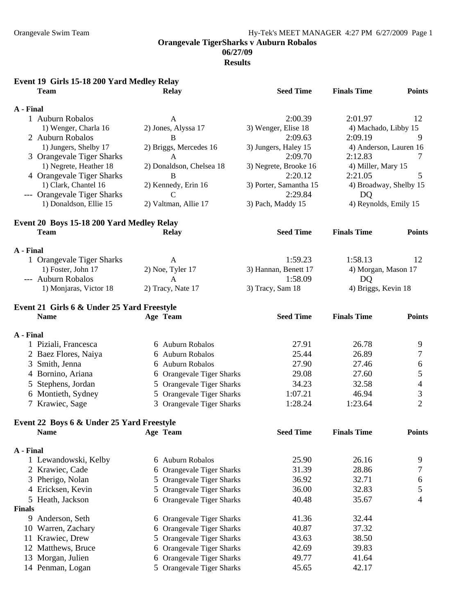## Orangevale Swim Team Hy-Tek's MEET MANAGER 4:27 PM 6/27/2009 Page 1

**Orangevale TigerSharks v Auburn Robalos** 

**06/27/09** 

|               | Event 19 Girls 15-18 200 Yard Medley Relay |   |                           |                        |                        |                          |
|---------------|--------------------------------------------|---|---------------------------|------------------------|------------------------|--------------------------|
|               | <b>Team</b>                                |   | <b>Relay</b>              | <b>Seed Time</b>       | <b>Finals Time</b>     | <b>Points</b>            |
| A - Final     |                                            |   |                           |                        |                        |                          |
|               | 1 Auburn Robalos                           |   | A                         | 2:00.39                | 2:01.97                | 12                       |
|               | 1) Wenger, Charla 16                       |   | 2) Jones, Alyssa 17       | 3) Wenger, Elise 18    | 4) Machado, Libby 15   |                          |
|               | 2 Auburn Robalos                           |   | B                         | 2:09.63                | 2:09.19                | 9                        |
|               | 1) Jungers, Shelby 17                      |   | 2) Briggs, Mercedes 16    | 3) Jungers, Haley 15   | 4) Anderson, Lauren 16 |                          |
|               | 3 Orangevale Tiger Sharks                  |   | A                         | 2:09.70                | 2:12.83                | 7                        |
|               | 1) Negrete, Heather 18                     |   | 2) Donaldson, Chelsea 18  | 3) Negrete, Brooke 16  | 4) Miller, Mary 15     |                          |
|               | 4 Orangevale Tiger Sharks                  |   | B                         | 2:20.12                | 2:21.05                | 5                        |
|               | 1) Clark, Chantel 16                       |   | 2) Kennedy, Erin 16       | 3) Porter, Samantha 15 | 4) Broadway, Shelby 15 |                          |
|               | --- Orangevale Tiger Sharks                |   | $\mathcal{C}$             | 2:29.84                | DQ                     |                          |
|               | 1) Donaldson, Ellie 15                     |   | 2) Valtman, Allie 17      | 3) Pach, Maddy 15      | 4) Reynolds, Emily 15  |                          |
|               | Event 20 Boys 15-18 200 Yard Medley Relay  |   |                           |                        |                        |                          |
|               | <b>Team</b>                                |   | <b>Relay</b>              | <b>Seed Time</b>       | <b>Finals Time</b>     | <b>Points</b>            |
| A - Final     |                                            |   |                           |                        |                        |                          |
|               | 1 Orangevale Tiger Sharks                  |   | A                         | 1:59.23                | 1:58.13                | 12                       |
|               | 1) Foster, John 17                         |   | 2) Noe, Tyler 17          | 3) Hannan, Benett 17   | 4) Morgan, Mason 17    |                          |
|               | --- Auburn Robalos                         |   | A                         | 1:58.09                | DQ                     |                          |
|               | 1) Monjaras, Victor 18                     |   | 2) Tracy, Nate 17         | 3) Tracy, Sam 18       | 4) Briggs, Kevin 18    |                          |
|               | Event 21 Girls 6 & Under 25 Yard Freestyle |   |                           |                        |                        |                          |
|               | <b>Name</b>                                |   | Age Team                  | <b>Seed Time</b>       | <b>Finals Time</b>     | <b>Points</b>            |
|               |                                            |   |                           |                        |                        |                          |
| A - Final     |                                            |   |                           |                        |                        |                          |
|               | 1 Piziali, Francesca                       |   | 6 Auburn Robalos          | 27.91                  | 26.78                  | 9                        |
|               | 2 Baez Flores, Naiya                       |   | 6 Auburn Robalos          | 25.44                  | 26.89                  | 7                        |
|               | 3 Smith, Jenna                             |   | 6 Auburn Robalos          | 27.90                  | 27.46                  | 6                        |
|               | 4 Bornino, Ariana                          |   | 6 Orangevale Tiger Sharks | 29.08                  | 27.60                  | 5                        |
|               | 5 Stephens, Jordan                         |   | 5 Orangevale Tiger Sharks | 34.23                  | 32.58                  | $\overline{\mathcal{A}}$ |
|               | 6 Montieth, Sydney                         |   | 5 Orangevale Tiger Sharks | 1:07.21                | 46.94                  | $\mathfrak{Z}$           |
|               | 7 Krawiec, Sage                            |   | 3 Orangevale Tiger Sharks | 1:28.24                | 1:23.64                | $\overline{2}$           |
|               |                                            |   |                           |                        |                        |                          |
|               | Event 22 Boys 6 & Under 25 Yard Freestyle  |   |                           |                        |                        |                          |
|               | <b>Name</b>                                |   | Age Team                  | <b>Seed Time</b>       | <b>Finals Time</b>     | <b>Points</b>            |
| A - Final     |                                            |   |                           |                        |                        |                          |
|               | 1 Lewandowski, Kelby                       | 6 | <b>Auburn Robalos</b>     | 25.90                  | 26.16                  | 9                        |
|               | 2 Krawiec, Cade                            | 6 | Orangevale Tiger Sharks   | 31.39                  | 28.86                  | 7                        |
|               | Pherigo, Nolan                             | 5 | Orangevale Tiger Sharks   | 36.92                  | 32.71                  | 6                        |
|               | 4 Ericksen, Kevin                          | 5 | Orangevale Tiger Sharks   | 36.00                  | 32.83                  | 5                        |
|               | 5 Heath, Jackson                           | 6 | Orangevale Tiger Sharks   | 40.48                  | 35.67                  | 4                        |
| <b>Finals</b> |                                            |   |                           |                        |                        |                          |
|               | 9 Anderson, Seth                           | 6 | Orangevale Tiger Sharks   | 41.36                  | 32.44                  |                          |
|               | 10 Warren, Zachary                         | 6 | Orangevale Tiger Sharks   | 40.87                  | 37.32                  |                          |
|               | 11 Krawiec, Drew                           |   | 5 Orangevale Tiger Sharks | 43.63                  | 38.50                  |                          |
|               | 12 Matthews, Bruce                         | 6 | Orangevale Tiger Sharks   | 42.69                  | 39.83                  |                          |
|               | 13 Morgan, Julien                          | 6 | Orangevale Tiger Sharks   | 49.77                  | 41.64                  |                          |
|               | 14 Penman, Logan                           |   | 5 Orangevale Tiger Sharks | 45.65                  | 42.17                  |                          |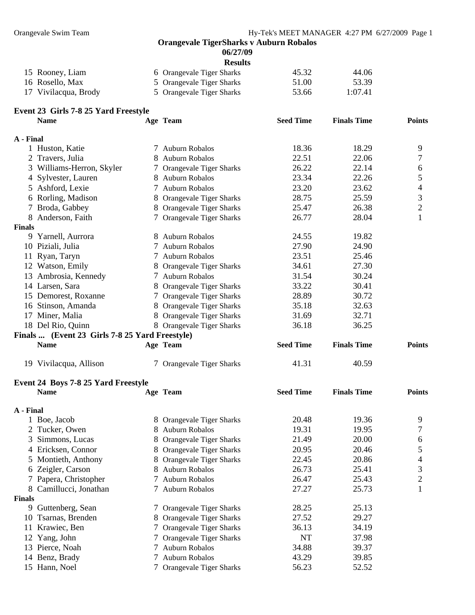**06/27/09** 

| SIII<br>П<br>B |
|----------------|
|----------------|

| 15 Rooney, Liam      | 6 Orangevale Tiger Sharks | 45.32 | 44.06   |
|----------------------|---------------------------|-------|---------|
| 16 Rosello, Max      | 5 Orangevale Tiger Sharks | 51.00 | 53.39   |
| 17 Vivilacqua, Brody | 5 Orangevale Tiger Sharks | 53.66 | 1:07.41 |

|             |  | Event 23 Girls 7-8 25 Yard Freestyle |
|-------------|--|--------------------------------------|
| <b>Name</b> |  | A۱                                   |

|               | <b>Name</b>                                    |   | Age Team                       | <b>Seed Time</b> | <b>Finals Time</b> | <b>Points</b>            |
|---------------|------------------------------------------------|---|--------------------------------|------------------|--------------------|--------------------------|
| A - Final     |                                                |   |                                |                  |                    |                          |
|               | 1 Huston, Katie                                |   | 7 Auburn Robalos               | 18.36            | 18.29              | 9                        |
|               | 2 Travers, Julia                               |   | 8 Auburn Robalos               | 22.51            | 22.06              | 7                        |
|               | 3 Williams-Herron, Skyler                      |   | 7 Orangevale Tiger Sharks      | 26.22            | 22.14              | 6                        |
|               | 4 Sylvester, Lauren                            |   | 8 Auburn Robalos               | 23.34            | 22.26              | 5                        |
|               | 5 Ashford, Lexie                               |   | 7 Auburn Robalos               | 23.20            | 23.62              | $\overline{\mathcal{A}}$ |
|               | 6 Rorling, Madison                             |   | 8 Orangevale Tiger Sharks      | 28.75            | 25.59              | $\mathfrak{Z}$           |
|               | 7 Broda, Gabbey                                |   | 8 Orangevale Tiger Sharks      | 25.47            | 26.38              | $\overline{c}$           |
|               | 8 Anderson, Faith                              |   | 7 Orangevale Tiger Sharks      | 26.77            | 28.04              | $\mathbf{1}$             |
| <b>Finals</b> |                                                |   |                                |                  |                    |                          |
|               | 9 Yarnell, Aurrora                             |   | 8 Auburn Robalos               | 24.55            | 19.82              |                          |
|               | 10 Piziali, Julia                              |   | 7 Auburn Robalos               | 27.90            | 24.90              |                          |
|               | 11 Ryan, Taryn                                 |   | 7 Auburn Robalos               | 23.51            | 25.46              |                          |
|               | 12 Watson, Emily                               | 8 | Orangevale Tiger Sharks        | 34.61            | 27.30              |                          |
|               | 13 Ambrosia, Kennedy                           |   | 7 Auburn Robalos               | 31.54            | 30.24              |                          |
|               | 14 Larsen, Sara                                |   | 8 Orangevale Tiger Sharks      | 33.22            | 30.41              |                          |
|               | 15 Demorest, Roxanne                           |   | 7 Orangevale Tiger Sharks      | 28.89            | 30.72              |                          |
|               | 16 Stinson, Amanda                             |   | 8 Orangevale Tiger Sharks      | 35.18            | 32.63              |                          |
|               | 17 Miner, Malia                                |   | 8 Orangevale Tiger Sharks      | 31.69            | 32.71              |                          |
|               | 18 Del Rio, Quinn                              |   | 8 Orangevale Tiger Sharks      | 36.18            | 36.25              |                          |
|               | Finals  (Event 23 Girls 7-8 25 Yard Freestyle) |   |                                |                  |                    |                          |
|               | <b>Name</b>                                    |   | Age Team                       | <b>Seed Time</b> | <b>Finals Time</b> | <b>Points</b>            |
|               |                                                |   |                                |                  |                    |                          |
|               | 19 Vivilacqua, Allison                         |   | 7 Orangevale Tiger Sharks      | 41.31            | 40.59              |                          |
|               | Event 24 Boys 7-8 25 Yard Freestyle            |   |                                |                  |                    |                          |
|               | <b>Name</b>                                    |   | Age Team                       | <b>Seed Time</b> | <b>Finals Time</b> | <b>Points</b>            |
|               |                                                |   |                                |                  |                    |                          |
| A - Final     |                                                |   |                                |                  |                    |                          |
|               | 1 Boe, Jacob                                   |   | 8 Orangevale Tiger Sharks      | 20.48            | 19.36              | 9                        |
|               | 2 Tucker, Owen                                 |   | 8 Auburn Robalos               | 19.31            | 19.95              | 7                        |
|               | 3 Simmons, Lucas                               | 8 | <b>Orangevale Tiger Sharks</b> | 21.49            | 20.00              | 6                        |
|               | 4 Ericksen, Connor                             | 8 | <b>Orangevale Tiger Sharks</b> | 20.95            | 20.46              | 5                        |
|               | 5 Montieth, Anthony                            |   | 8 Orangevale Tiger Sharks      | 22.45            | 20.86              | 4                        |
|               | 6 Zeigler, Carson                              | 8 | <b>Auburn Robalos</b>          | 26.73            | 25.41              | 3                        |
|               | 7 Papera, Christopher                          |   | Auburn Robalos                 | 26.47            | 25.43              | $\overline{c}$           |
|               | 8 Camillucci, Jonathan                         |   | Auburn Robalos                 | 27.27            | 25.73              | 1                        |
| <b>Finals</b> |                                                |   |                                |                  |                    |                          |
|               | 9 Guttenberg, Sean                             |   | 7 Orangevale Tiger Sharks      | 28.25            | 25.13              |                          |
| 10            | Tsarnas, Brenden                               | 8 | Orangevale Tiger Sharks        | 27.52            | 29.27              |                          |
| 11            | Krawiec, Ben                                   | Ί | Orangevale Tiger Sharks        | 36.13            | 34.19              |                          |
|               | 12 Yang, John                                  | Ί | Orangevale Tiger Sharks        | NT               | 37.98              |                          |
|               | 13 Pierce, Noah                                |   | Auburn Robalos                 | 34.88            | 39.37              |                          |
|               | 14 Benz, Brady                                 | 7 | <b>Auburn Robalos</b>          | 43.29            | 39.85              |                          |
|               | 15 Hann, Noel                                  |   | 7 Orangevale Tiger Sharks      | 56.23            | 52.52              |                          |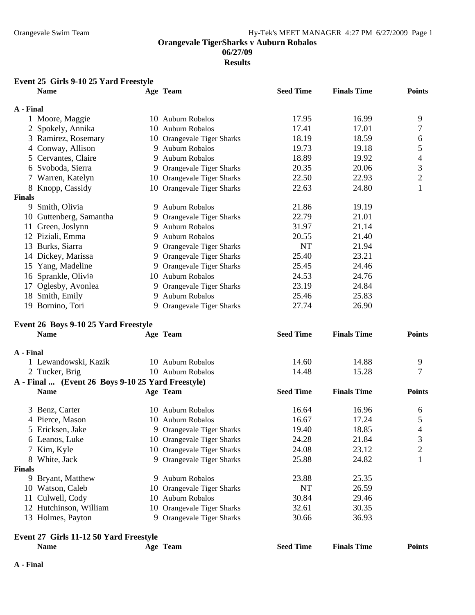**Results** 

### **Event 25 Girls 9-10 25 Yard Freestyle**

|               | <b>Name</b>                                       |    | Age Team                   | <b>Seed Time</b> | <b>Finals Time</b> | <b>Points</b>            |
|---------------|---------------------------------------------------|----|----------------------------|------------------|--------------------|--------------------------|
| A - Final     |                                                   |    |                            |                  |                    |                          |
|               | 1 Moore, Maggie                                   |    | 10 Auburn Robalos          | 17.95            | 16.99              | 9                        |
|               | 2 Spokely, Annika                                 |    | 10 Auburn Robalos          | 17.41            | 17.01              | 7                        |
|               | 3 Ramirez, Rosemary                               |    | 10 Orangevale Tiger Sharks | 18.19            | 18.59              | 6                        |
|               | 4 Conway, Allison                                 |    | 9 Auburn Robalos           | 19.73            | 19.18              | 5                        |
|               | 5 Cervantes, Claire                               |    | 9 Auburn Robalos           | 18.89            | 19.92              | $\overline{\mathcal{A}}$ |
|               | 6 Svoboda, Sierra                                 |    | 9 Orangevale Tiger Sharks  | 20.35            | 20.06              | 3                        |
|               | 7 Warren, Katelyn                                 |    | 10 Orangevale Tiger Sharks | 22.50            | 22.93              | $\mathbf{2}$             |
|               | 8 Knopp, Cassidy                                  |    | 10 Orangevale Tiger Sharks | 22.63            | 24.80              | $\mathbf{1}$             |
| <b>Finals</b> |                                                   |    |                            |                  |                    |                          |
|               | 9 Smith, Olivia                                   |    | 9 Auburn Robalos           | 21.86            | 19.19              |                          |
|               | 10 Guttenberg, Samantha                           |    | 9 Orangevale Tiger Sharks  | 22.79            | 21.01              |                          |
|               | 11 Green, Joslynn                                 |    | 9 Auburn Robalos           | 31.97            | 21.14              |                          |
|               | 12 Piziali, Emma                                  |    | 9 Auburn Robalos           | 20.55            | 21.40              |                          |
|               | 13 Burks, Siarra                                  |    | 9 Orangevale Tiger Sharks  | <b>NT</b>        | 21.94              |                          |
|               | 14 Dickey, Marissa                                |    | 9 Orangevale Tiger Sharks  | 25.40            | 23.21              |                          |
|               | 15 Yang, Madeline                                 |    | 9 Orangevale Tiger Sharks  | 25.45            | 24.46              |                          |
|               | 16 Sprankle, Olivia                               |    | 10 Auburn Robalos          | 24.53            | 24.76              |                          |
|               | 17 Oglesby, Avonlea                               |    | 9 Orangevale Tiger Sharks  | 23.19            | 24.84              |                          |
|               | 18 Smith, Emily                                   |    | 9 Auburn Robalos           | 25.46            | 25.83              |                          |
|               | 19 Bornino, Tori                                  |    | 9 Orangevale Tiger Sharks  | 27.74            | 26.90              |                          |
|               | Event 26 Boys 9-10 25 Yard Freestyle              |    |                            |                  |                    |                          |
|               | <b>Name</b>                                       |    | Age Team                   | <b>Seed Time</b> | <b>Finals Time</b> | <b>Points</b>            |
| A - Final     |                                                   |    |                            |                  |                    |                          |
|               | 1 Lewandowski, Kazik                              |    | 10 Auburn Robalos          | 14.60            | 14.88              | 9                        |
|               | 2 Tucker, Brig                                    |    | 10 Auburn Robalos          | 14.48            | 15.28              | 7                        |
|               | A - Final  (Event 26 Boys 9-10 25 Yard Freestyle) |    |                            |                  |                    |                          |
|               | <b>Name</b>                                       |    | Age Team                   | <b>Seed Time</b> | <b>Finals Time</b> | <b>Points</b>            |
|               | 3 Benz, Carter                                    |    | 10 Auburn Robalos          | 16.64            | 16.96              | 6                        |
|               | 4 Pierce, Mason                                   |    | 10 Auburn Robalos          | 16.67            | 17.24              | 5                        |
|               | 5 Ericksen, Jake                                  |    | 9 Orangevale Tiger Sharks  | 19.40            | 18.85              | 4                        |
|               | 6 Leanos, Luke                                    |    | 10 Orangevale Tiger Sharks | 24.28            | 21.84              | 3                        |
|               | Kim, Kyle                                         |    | 10 Orangevale Tiger Sharks | 24.08            | 23.12              | $\overline{c}$           |
| 8             | White, Jack                                       |    | 9 Orangevale Tiger Sharks  | 25.88            | 24.82              | 1                        |
| <b>Finals</b> |                                                   |    |                            |                  |                    |                          |
|               | 9 Bryant, Matthew                                 |    | 9 Auburn Robalos           | 23.88            | 25.35              |                          |
|               | 10 Watson, Caleb                                  | 10 | Orangevale Tiger Sharks    | NT               | 26.59              |                          |
|               | 11 Culwell, Cody                                  |    | 10 Auburn Robalos          | 30.84            | 29.46              |                          |
|               | 12 Hutchinson, William                            |    | 10 Orangevale Tiger Sharks | 32.61            | 30.35              |                          |
|               | 13 Holmes, Payton                                 |    | 9 Orangevale Tiger Sharks  | 30.66            | 36.93              |                          |
|               | Event 27 Girls 11-12 50 Yard Freestyle            |    |                            |                  |                    |                          |
|               | <b>Name</b>                                       |    | Age Team                   | <b>Seed Time</b> | <b>Finals Time</b> | <b>Points</b>            |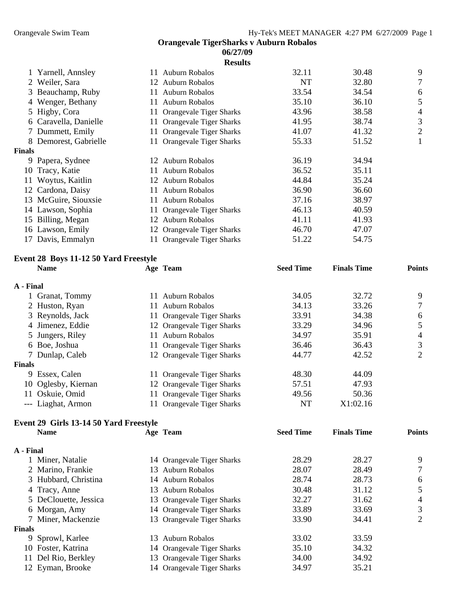|               |                                       |    | <b>Results</b>                 |                  |                    |                |
|---------------|---------------------------------------|----|--------------------------------|------------------|--------------------|----------------|
|               | Yarnell, Annsley                      |    | 11 Auburn Robalos              | 32.11            | 30.48              | 9              |
|               | 2 Weiler, Sara                        | 12 | <b>Auburn Robalos</b>          | <b>NT</b>        | 32.80              | 7              |
| 3             | Beauchamp, Ruby                       | 11 | Auburn Robalos                 | 33.54            | 34.54              | 6              |
|               | Wenger, Bethany                       | 11 | <b>Auburn Robalos</b>          | 35.10            | 36.10              | 5              |
|               | 5 Higby, Cora                         |    | 11 Orangevale Tiger Sharks     | 43.96            | 38.58              | 4              |
|               | 6 Caravella, Danielle                 |    | 11 Orangevale Tiger Sharks     | 41.95            | 38.74              | 3              |
| 7             | Dummett, Emily                        | 11 | <b>Orangevale Tiger Sharks</b> | 41.07            | 41.32              | $\overline{2}$ |
|               | 8 Demorest, Gabrielle                 | 11 | <b>Orangevale Tiger Sharks</b> | 55.33            | 51.52              | $\mathbf{I}$   |
| <b>Finals</b> |                                       |    |                                |                  |                    |                |
|               | 9 Papera, Sydnee                      |    | 12 Auburn Robalos              | 36.19            | 34.94              |                |
| 10            | Tracy, Katie                          | 11 | <b>Auburn Robalos</b>          | 36.52            | 35.11              |                |
| 11            | Woytus, Kaitlin                       |    | 12 Auburn Robalos              | 44.84            | 35.24              |                |
|               | 12 Cardona, Daisy                     | 11 | <b>Auburn Robalos</b>          | 36.90            | 36.60              |                |
|               | 13 McGuire, Siouxsie                  |    | 11 Auburn Robalos              | 37.16            | 38.97              |                |
|               | 14 Lawson, Sophia                     | 11 | <b>Orangevale Tiger Sharks</b> | 46.13            | 40.59              |                |
|               | 15 Billing, Megan                     |    | 12 Auburn Robalos              | 41.11            | 41.93              |                |
|               | 16 Lawson, Emily                      |    | 12 Orangevale Tiger Sharks     | 46.70            | 47.07              |                |
| 17            | Davis, Emmalyn                        | 11 | Orangevale Tiger Sharks        | 51.22            | 54.75              |                |
|               | Event 28 Boys 11-12 50 Yard Freestyle |    |                                |                  |                    |                |
|               | <b>Name</b>                           |    | Age Team                       | <b>Seed Time</b> | <b>Finals Time</b> | <b>Points</b>  |
| A - Final     |                                       |    |                                |                  |                    |                |
|               | 1 Granat, Tommy                       |    | 11 Auburn Robalos              | 34.05            | 32.72              | 9              |

| 1 UTaliat, FOILLITY |                                                                                                                                                                                                                   | J4.UJ                                                                                                                                                                                                                                                                                                      | 4.12     | $\mathcal{I}$  |
|---------------------|-------------------------------------------------------------------------------------------------------------------------------------------------------------------------------------------------------------------|------------------------------------------------------------------------------------------------------------------------------------------------------------------------------------------------------------------------------------------------------------------------------------------------------------|----------|----------------|
|                     | 11                                                                                                                                                                                                                | 34.13                                                                                                                                                                                                                                                                                                      | 33.26    | $\tau$         |
|                     |                                                                                                                                                                                                                   | 33.91                                                                                                                                                                                                                                                                                                      | 34.38    | 6              |
|                     |                                                                                                                                                                                                                   | 33.29                                                                                                                                                                                                                                                                                                      | 34.96    | 5              |
|                     |                                                                                                                                                                                                                   | 34.97                                                                                                                                                                                                                                                                                                      | 35.91    | $\overline{4}$ |
|                     |                                                                                                                                                                                                                   | 36.46                                                                                                                                                                                                                                                                                                      | 36.43    | 3              |
|                     |                                                                                                                                                                                                                   | 44.77                                                                                                                                                                                                                                                                                                      | 42.52    | 2              |
|                     |                                                                                                                                                                                                                   |                                                                                                                                                                                                                                                                                                            |          |                |
|                     |                                                                                                                                                                                                                   | 48.30                                                                                                                                                                                                                                                                                                      | 44.09    |                |
|                     |                                                                                                                                                                                                                   | 57.51                                                                                                                                                                                                                                                                                                      | 47.93    |                |
|                     |                                                                                                                                                                                                                   | 49.56                                                                                                                                                                                                                                                                                                      | 50.36    |                |
|                     |                                                                                                                                                                                                                   | NT                                                                                                                                                                                                                                                                                                         | X1:02.16 |                |
|                     | 2 Huston, Ryan<br>3 Reynolds, Jack<br>4 Jimenez, Eddie<br>5 Jungers, Riley<br>6 Boe, Joshua<br>7 Dunlap, Caleb<br><b>Finals</b><br>9 Essex, Calen<br>10 Oglesby, Kiernan<br>11 Oskuie, Omid<br>--- Liaghat, Armon | 11 Audulli Nodalos<br>Auburn Robalos<br>11 Orangevale Tiger Sharks<br>12 Orangevale Tiger Sharks<br>Auburn Robalos<br>11 Orangevale Tiger Sharks<br>12 Orangevale Tiger Sharks<br>11 Orangevale Tiger Sharks<br>12 Orangevale Tiger Sharks<br>11 Orangevale Tiger Sharks<br><b>Orangevale Tiger Sharks</b> |          |                |

## **Event 29 Girls 13-14 50 Yard Freestyle**

|               | <b>Name</b>           |     | Age Team                   | <b>Seed Time</b> | <b>Finals Time</b> | <b>Points</b> |
|---------------|-----------------------|-----|----------------------------|------------------|--------------------|---------------|
| A - Final     |                       |     |                            |                  |                    |               |
|               | 1 Miner, Natalie      |     | 14 Orangevale Tiger Sharks | 28.29            | 28.27              | 9             |
|               | 2 Marino, Frankie     | 13. | Auburn Robalos             | 28.07            | 28.49              |               |
|               | 3 Hubbard, Christina  |     | 14 Auburn Robalos          | 28.74            | 28.73              | 6             |
|               | 4 Tracy, Anne         | 13. | Auburn Robalos             | 30.48            | 31.12              |               |
|               | 5 DeClouette, Jessica |     | 13 Orangevale Tiger Sharks | 32.27            | 31.62              | 4             |
|               | 6 Morgan, Amy         |     | 14 Orangevale Tiger Sharks | 33.89            | 33.69              | 3             |
|               | 7 Miner, Mackenzie    |     | 13 Orangevale Tiger Sharks | 33.90            | 34.41              | 2             |
| <b>Finals</b> |                       |     |                            |                  |                    |               |
|               | 9 Sprowl, Karlee      | 13. | <b>Auburn Robalos</b>      | 33.02            | 33.59              |               |
|               | 10 Foster, Katrina    |     | 14 Orangevale Tiger Sharks | 35.10            | 34.32              |               |
| 11            | Del Rio, Berkley      |     | 13 Orangevale Tiger Sharks | 34.00            | 34.92              |               |
|               | 12 Eyman, Brooke      |     | 14 Orangevale Tiger Sharks | 34.97            | 35.21              |               |
|               |                       |     |                            |                  |                    |               |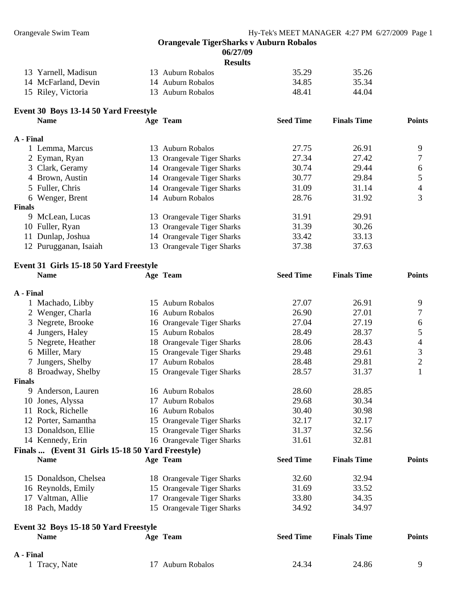**Finals Time Points** 

#### **Orangevale TigerSharks v Auburn Robalos**

| <b>06/27/09</b> |  |
|-----------------|--|
| Results         |  |

|                     | results           |       |       |
|---------------------|-------------------|-------|-------|
| 13 Yarnell, Madisun | 13 Auburn Robalos | 35.29 | 35.26 |
| 14 McFarland, Devin | 14 Auburn Robalos | 34.85 | 35.34 |
| 15 Riley, Victoria  | 13 Auburn Robalos | 48.41 | 44.04 |

| Event 30 Boys 13-14 50 Yard Freestyle |          |                  |
|---------------------------------------|----------|------------------|
| <b>Name</b>                           | Age Team | <b>Seed Time</b> |

| A - Final     |                       |                            |       |       |   |
|---------------|-----------------------|----------------------------|-------|-------|---|
|               | 1 Lemma, Marcus       | Auburn Robalos<br>13.      | 27.75 | 26.91 | Q |
|               | 2 Eyman, Ryan         | 13 Orangevale Tiger Sharks | 27.34 | 27.42 |   |
|               | 3 Clark, Geramy       | 14 Orangevale Tiger Sharks | 30.74 | 29.44 | 6 |
|               | 4 Brown, Austin       | 14 Orangevale Tiger Sharks | 30.77 | 29.84 |   |
|               | 5 Fuller, Chris       | 14 Orangevale Tiger Sharks | 31.09 | 31.14 | 4 |
|               | 6 Wenger, Brent       | 14 Auburn Robalos          | 28.76 | 31.92 | 3 |
| <b>Finals</b> |                       |                            |       |       |   |
|               | 9 McLean, Lucas       | 13 Orangevale Tiger Sharks | 31.91 | 29.91 |   |
|               | 10 Fuller, Ryan       | 13 Orangevale Tiger Sharks | 31.39 | 30.26 |   |
| 11            | Dunlap, Joshua        | 14 Orangevale Tiger Sharks | 33.42 | 33.13 |   |
|               | 12 Purugganan, Isaiah | 13 Orangevale Tiger Sharks | 37.38 | 37.63 |   |

### **Event 31 Girls 15-18 50 Yard Freestyle**

|               | <b>Name</b>                                      |    | Age Team                   | <b>Seed Time</b> | <b>Finals Time</b> | <b>Points</b>  |
|---------------|--------------------------------------------------|----|----------------------------|------------------|--------------------|----------------|
| A - Final     |                                                  |    |                            |                  |                    |                |
|               | 1 Machado, Libby                                 |    | 15 Auburn Robalos          | 27.07            | 26.91              | 9              |
|               | 2 Wenger, Charla                                 |    | 16 Auburn Robalos          | 26.90            | 27.01              | 7              |
|               | 3 Negrete, Brooke                                |    | 16 Orangevale Tiger Sharks | 27.04            | 27.19              | 6              |
|               | 4 Jungers, Haley                                 |    | 15 Auburn Robalos          | 28.49            | 28.37              | 5              |
|               | 5 Negrete, Heather                               |    | 18 Orangevale Tiger Sharks | 28.06            | 28.43              | 4              |
|               | 6 Miller, Mary                                   |    | 15 Orangevale Tiger Sharks | 29.48            | 29.61              | 3              |
|               | Jungers, Shelby                                  |    | 17 Auburn Robalos          | 28.48            | 29.81              | $\mathfrak{2}$ |
|               | 8 Broadway, Shelby                               |    | 15 Orangevale Tiger Sharks | 28.57            | 31.37              | 1              |
| <b>Finals</b> |                                                  |    |                            |                  |                    |                |
|               | 9 Anderson, Lauren                               |    | 16 Auburn Robalos          | 28.60            | 28.85              |                |
|               | 10 Jones, Alyssa                                 | 17 | <b>Auburn Robalos</b>      | 29.68            | 30.34              |                |
|               | 11 Rock, Richelle                                |    | 16 Auburn Robalos          | 30.40            | 30.98              |                |
|               | 12 Porter, Samantha                              |    | 15 Orangevale Tiger Sharks | 32.17            | 32.17              |                |
|               | 13 Donaldson, Ellie                              |    | 15 Orangevale Tiger Sharks | 31.37            | 32.56              |                |
|               | 14 Kennedy, Erin                                 |    | 16 Orangevale Tiger Sharks | 31.61            | 32.81              |                |
|               | Finals  (Event 31 Girls 15-18 50 Yard Freestyle) |    |                            |                  |                    |                |
|               | <b>Name</b>                                      |    | Age Team                   | <b>Seed Time</b> | <b>Finals Time</b> | <b>Points</b>  |
|               | 15 Donaldson, Chelsea                            |    | 18 Orangevale Tiger Sharks | 32.60            | 32.94              |                |
|               | 16 Reynolds, Emily                               |    | 15 Orangevale Tiger Sharks | 31.69            | 33.52              |                |
|               | 17 Valtman, Allie                                | 17 | Orangevale Tiger Sharks    | 33.80            | 34.35              |                |
|               | 18 Pach, Maddy                                   |    | 15 Orangevale Tiger Sharks | 34.92            | 34.97              |                |
|               | Event 32 Boys 15-18 50 Yard Freestyle            |    |                            |                  |                    |                |
|               | <b>Name</b>                                      |    | Age Team                   | <b>Seed Time</b> | <b>Finals Time</b> | <b>Points</b>  |
| A - Final     |                                                  |    |                            |                  |                    |                |
|               | 1 Tracy, Nate                                    |    | 17 Auburn Robalos          | 24.34            | 24.86              | 9              |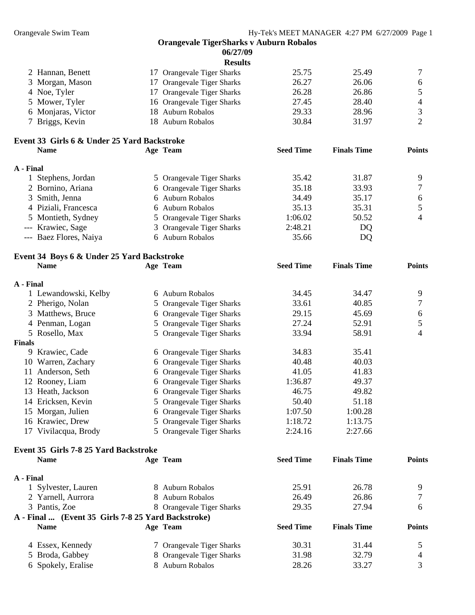#### **Orangevale TigerSharks v Auburn Robalos 06/27/09 Results**  17 Orangevale Tiger Sharks 25.75 25.49 25.49 3 Morgan, Mason 17 Orangevale Tiger Sharks 26.27 26.06 6 **A Seed Finals Points**  9 7 6 6 Auburn Robalos 35.13 35.31 5 4 --- Krawiec, Sage 3 Orangevale Tiger Sharks 2:48.21 DQ Auburn Robalos 35.66 DQ Event 34 Boys 6 & Under 25 Yard Backstroke **me Age Team Seed Time Finals Time Points**  1 Lewandowski, Kelby 6 Auburn Robalos 34.45 34.47 9 2 Pherigo, Nolan 5 Orangevale Tiger Sharks 33.61 40.85 7 3 Matthews, Bruce 6 Orangevale Tiger Sharks 29.15 45.69 6 4 Penman, Logan 5 Orangevale Tiger Sharks 27.24 52.91 5 9 Krawiec, Cade 6 Orangevale Tiger Sharks 34.83 35.41 10 Warren, Zachary 6 Orangevale Tiger Sharks 40.48 40.03 11 Anderson, Seth 6 Orangevale Tiger Sharks 1:36.87 49.37 13 Heath. Jackson 14 Ericksen, Kevin 5 Orangevale Tiger Sharks 50.40 51.18  $1:07.50$   $1:00.28$ 16 Krawiec, Drew 5 Orangevale Tiger Sharks 1:18.72 1:13.75 17 Vivilacqua, Brody 5 Orangevale Tiger Sharks 2:24.16 2:27.66 **Age Team Seed Time Finals Time Points Points A** - **Final** Robalos 25.91 26.78 9 2 Yarnell, Aurrora 8 Auburn Robalos 26.49 26.86 7 3 Pantis, Zoe 8 Orangevale Tiger Sharks 29.35 27.94 6 **... (Event 35 Girls 7-8 25 Yard Backstroke) A - Final A Seed Finals Points**  4 Essex, Kennedy 7 Orangevale Tiger Sharks 30.31 31.44 5 2 Hannan, Benett 4 Noe, Tyler 17 Orangevale Tiger Sharks 26.28 26.86 5 5 Mower, Tyler 16 Orangevale Tiger Sharks 27.45 28.40 4 6 Monjaras, Victor 18 Auburn Robalos 29.33 28.96 3 7 Briggs, Kevin 18 Auburn Robalos 30.84 31.97 2 **Event 33 Girls 6 & Under 25 Yard Backstroke Name get Team Age Team A - Final**  1 Stephens, Jordan 5 Orangevale Tiger Sharks 35.42 31.87 2 Bornino, Ariana 6 Orangevale Tiger Sharks 35.18 33.93 3 Smith, Jenna 6 Auburn Robalos 34.49 35.17 4 Piziali, Francesca 5 Montieth, Sydney 5 Orangevale Tiger Sharks 1:06.02 50.52 --- Baez Flores, Naiya **Na A - Final**  5 Rosello, Max 5 Orangevale Tiger Sharks 33.94 58.91 4 **Finals**  6 Orangevale Tiger Sharks 41.05 41.83 12 Rooney, Liam 6 Orangevale Tiger Sharks 46.75 49.82 15 Morgan, Julien 6 Orangevale Tiger Sharks **Event 35 Girls 7-8 25 Yard Backstroke**  1 Sylvester, Lauren 8 Auburn Robalos **Name geam geam of the Time Constanting Time Time Finals Time** 5 Broda, Gabbey 8 Orangevale Tiger Sharks 31.98 32.79 4

6 Spokely, Eralise 8 Auburn Robalos 28.26 33.27 3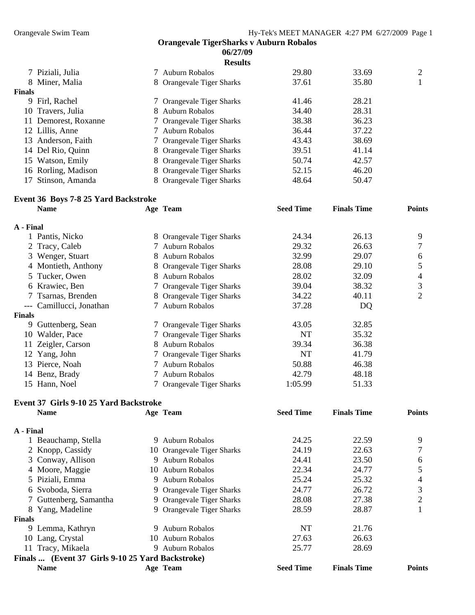|        |                      | <b>Results</b>            |       |       |   |
|--------|----------------------|---------------------------|-------|-------|---|
|        | 7 Piziali, Julia     | 7 Auburn Robalos          | 29.80 | 33.69 | 2 |
|        | 8 Miner, Malia       | 8 Orangevale Tiger Sharks | 37.61 | 35.80 |   |
| Finals |                      |                           |       |       |   |
|        | 9 Firl, Rachel       | 7 Orangevale Tiger Sharks | 41.46 | 28.21 |   |
|        | 10 Travers, Julia    | 8 Auburn Robalos          | 34.40 | 28.31 |   |
|        | 11 Demorest, Roxanne | 7 Orangevale Tiger Sharks | 38.38 | 36.23 |   |
|        | 12 Lillis, Anne      | 7 Auburn Robalos          | 36.44 | 37.22 |   |
| 13.    | Anderson, Faith      | 7 Orangevale Tiger Sharks | 43.43 | 38.69 |   |
|        | 14 Del Rio, Quinn    | 8 Orangevale Tiger Sharks | 39.51 | 41.14 |   |
|        | 15 Watson, Emily     | 8 Orangevale Tiger Sharks | 50.74 | 42.57 |   |
|        | 16 Rorling, Madison  | 8 Orangevale Tiger Sharks | 52.15 | 46.20 |   |
|        | 17 Stinson, Amanda   | 8 Orangevale Tiger Sharks | 48.64 | 50.47 |   |

## **Event 36 Boys 7-8 25 Yard Backstroke**

|               | <b>Name</b>          |   | Age Team                  | <b>Seed Time</b> | <b>Finals Time</b> | <b>Points</b> |
|---------------|----------------------|---|---------------------------|------------------|--------------------|---------------|
| A - Final     |                      |   |                           |                  |                    |               |
|               | 1 Pantis, Nicko      |   | 8 Orangevale Tiger Sharks | 24.34            | 26.13              | 9             |
|               | 2 Tracy, Caleb       |   | 7 Auburn Robalos          | 29.32            | 26.63              |               |
|               | 3 Wenger, Stuart     | 8 | <b>Auburn Robalos</b>     | 32.99            | 29.07              | 6             |
|               | 4 Montieth, Anthony  |   | 8 Orangevale Tiger Sharks | 28.08            | 29.10              | 5             |
|               | 5 Tucker, Owen       | 8 | Auburn Robalos            | 28.02            | 32.09              | 4             |
|               | 6 Krawiec, Ben       |   | 7 Orangevale Tiger Sharks | 39.04            | 38.32              | 3             |
| 7             | Tsarnas, Brenden     |   | 8 Orangevale Tiger Sharks | 34.22            | 40.11              | 2             |
| ---           | Camillucci, Jonathan |   | 7 Auburn Robalos          | 37.28            | DQ                 |               |
| <b>Finals</b> |                      |   |                           |                  |                    |               |
| 9             | Guttenberg, Sean     |   | 7 Orangevale Tiger Sharks | 43.05            | 32.85              |               |
| 10            | Walder, Pace         |   | 7 Orangevale Tiger Sharks | <b>NT</b>        | 35.32              |               |
|               | Zeigler, Carson      | 8 | <b>Auburn Robalos</b>     | 39.34            | 36.38              |               |
| 12            | Yang, John           |   | 7 Orangevale Tiger Sharks | NT               | 41.79              |               |
|               | 13 Pierce, Noah      |   | 7 Auburn Robalos          | 50.88            | 46.38              |               |
|               | 14 Benz, Brady       |   | 7 Auburn Robalos          | 42.79            | 48.18              |               |
|               | 15 Hann, Noel        |   | 7 Orangevale Tiger Sharks | 1:05.99          | 51.33              |               |
|               |                      |   |                           |                  |                    |               |

#### **Event 37 Girls 9-10 25 Yard Backstroke**

|               | <b>Name</b>                                      |    | Age Team                   | <b>Seed Time</b> | <b>Finals Time</b> | <b>Points</b> |
|---------------|--------------------------------------------------|----|----------------------------|------------------|--------------------|---------------|
| A - Final     |                                                  |    |                            |                  |                    |               |
|               | Beauchamp, Stella                                | 9. | Auburn Robalos             | 24.25            | 22.59              | 9             |
|               | 2 Knopp, Cassidy                                 |    | 10 Orangevale Tiger Sharks | 24.19            | 22.63              |               |
|               | 3 Conway, Allison                                |    | 9 Auburn Robalos           | 24.41            | 23.50              | 6             |
|               | 4 Moore, Maggie                                  |    | 10 Auburn Robalos          | 22.34            | 24.77              |               |
|               | 5 Piziali, Emma                                  | 9. | Auburn Robalos             | 25.24            | 25.32              | 4             |
|               | 6 Svoboda, Sierra                                |    | 9 Orangevale Tiger Sharks  | 24.77            | 26.72              | 3             |
|               | 7 Guttenberg, Samantha                           |    | 9 Orangevale Tiger Sharks  | 28.08            | 27.38              | 2             |
|               | 8 Yang, Madeline                                 |    | 9 Orangevale Tiger Sharks  | 28.59            | 28.87              |               |
| <b>Finals</b> |                                                  |    |                            |                  |                    |               |
|               | 9 Lemma, Kathryn                                 |    | 9 Auburn Robalos           | NT               | 21.76              |               |
|               | 10 Lang, Crystal                                 |    | 10 Auburn Robalos          | 27.63            | 26.63              |               |
|               | 11 Tracy, Mikaela                                | 9. | Auburn Robalos             | 25.77            | 28.69              |               |
|               | Finals  (Event 37 Girls 9-10 25 Yard Backstroke) |    |                            |                  |                    |               |
|               | <b>Name</b>                                      |    | Age Team                   | <b>Seed Time</b> | <b>Finals Time</b> | Points        |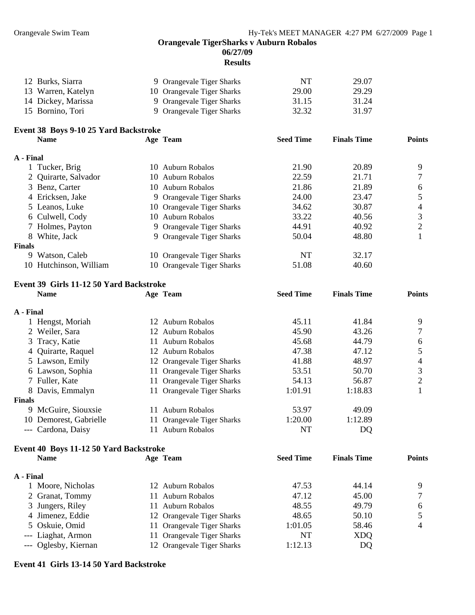**Seed Finals Points** 

#### **Orangevale TigerSharks v Auburn Robalos 06/27/09**

## **Results**

| 12 Burks, Siarra   | 9 Orangevale Tiger Sharks  | NT    | 29.07 |
|--------------------|----------------------------|-------|-------|
| 13 Warren, Katelyn | 10 Orangevale Tiger Sharks | 29.00 | 29.29 |
| 14 Dickey, Marissa | 9 Orangevale Tiger Sharks  | 31.15 | 31.24 |
| 15 Bornino, Tori   | 9 Orangevale Tiger Sharks  | 32.32 | 31.97 |

#### **38 Boys 9-10 25 Yard Backstroke Event Seed Time Finals Time Points** 21.90 20.89 9 10 Auburn Robalos 22.59 21.71 7 3 Benz, Carter 10 Auburn Robalos 21.86 21.89 6 4 Ericksen, Jake 9 Orangevale Tiger Sharks 24.00 23.47 5 10 Orangevale Tiger Sharks 34.62 30.87 4 7 Holmes, Payton 9 Orangevale Tiger Sharks 44.91 40.92 2 8 White, Jack 9 Orangevale Tiger Sharks 50.04 48.80 1 10 Hutchinson, William 10 Orangevale Tiger Sharks 51.08 40.60 **Name Age Team A - Final**  1 Tucker, Brig 10 Auburn Robalos 2 Quirarte, Salvador 5 Leanos, Luke 6 Culwell, Cody 10 Auburn Robalos 33.22 40.56 3 **Finals**  9 Watson, Caleb 10 Orangevale Tiger Sharks NT 32.17

#### Event 39 Girls 11-12 50 Yard Backstroke

|               | <b>Name</b>         |     | Age Team                   | <b>Seed Time</b> | <b>Finals Time</b> | <b>Points</b> |
|---------------|---------------------|-----|----------------------------|------------------|--------------------|---------------|
| A - Final     |                     |     |                            |                  |                    |               |
|               | 1 Hengst, Moriah    | 12  | Auburn Robalos             | 45.11            | 41.84              | 9             |
|               | 2 Weiler, Sara      |     | 12 Auburn Robalos          | 45.90            | 43.26              |               |
|               | 3 Tracy, Katie      | 11  | Auburn Robalos             | 45.68            | 44.79              | 6             |
|               | 4 Quirarte, Raquel  |     | 12 Auburn Robalos          | 47.38            | 47.12              |               |
|               | 5 Lawson, Emily     |     | 12 Orangevale Tiger Sharks | 41.88            | 48.97              | 4             |
|               | 6 Lawson, Sophia    |     | 11 Orangevale Tiger Sharks | 53.51            | 50.70              | 3             |
|               | 7 Fuller, Kate      |     | 11 Orangevale Tiger Sharks | 54.13            | 56.87              | 2             |
|               | 8 Davis, Emmalyn    |     | 11 Orangevale Tiger Sharks | 1:01.91          | 1:18.83            |               |
| <b>Finals</b> |                     |     |                            |                  |                    |               |
|               | 9 McGuire, Siouxsie | 11. | Auburn Robalos             | 53.97            | 49.09              |               |
| 10            | Demorest, Gabrielle | 11- | Orangevale Tiger Sharks    | 1:20.00          | 1:12.89            |               |
|               | --- Cardona, Daisy  |     | Auburn Robalos             | NT               | DQ                 |               |

## **Event 40 Boys 11-12 50 Yard Backstroke**

|           | <b>Name</b>          | Age Team                   | <b>Seed Time</b> | <b>Finals Time</b> | <b>Points</b> |
|-----------|----------------------|----------------------------|------------------|--------------------|---------------|
| A - Final |                      |                            |                  |                    |               |
|           | 1 Moore, Nicholas    | 12 Auburn Robalos          | 47.53            | 44.14              | Q             |
|           | 2 Granat, Tommy      | 11 Auburn Robalos          | 47.12            | 45.00              |               |
|           | 3 Jungers, Riley     | 11 Auburn Robalos          | 48.55            | 49.79              | 6             |
|           | 4 Jimenez, Eddie     | 12 Orangevale Tiger Sharks | 48.65            | 50.10              |               |
|           | 5 Oskuie, Omid       | 11 Orangevale Tiger Sharks | 1:01.05          | 58.46              | 4             |
|           | --- Liaghat, Armon   | 11 Orangevale Tiger Sharks | NT               | <b>XDQ</b>         |               |
|           | --- Oglesby, Kiernan | 12 Orangevale Tiger Sharks | 1:12.13          | DQ                 |               |

#### **Event 41 Girls 13-14 50 Yard Backstroke**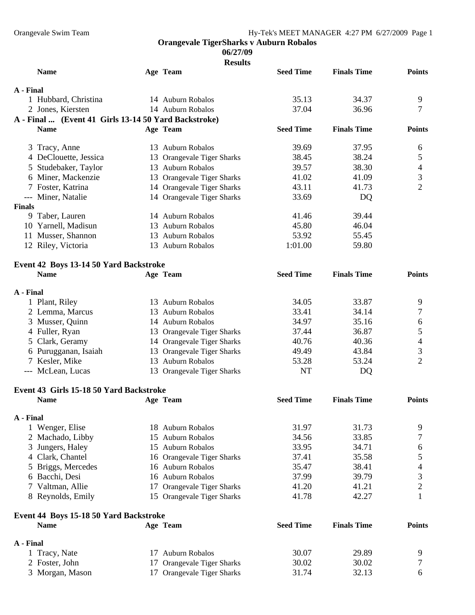#### **06/27/09**

| <b>Results</b>                                       |    |                            |                  |                    |                |
|------------------------------------------------------|----|----------------------------|------------------|--------------------|----------------|
| <b>Name</b>                                          |    | Age Team                   | <b>Seed Time</b> | <b>Finals Time</b> | <b>Points</b>  |
| A - Final                                            |    |                            |                  |                    |                |
| 1 Hubbard, Christina                                 |    | 14 Auburn Robalos          | 35.13            | 34.37              | 9              |
| 2 Jones, Kiersten                                    |    | 14 Auburn Robalos          | 37.04            | 36.96              | 7              |
| A - Final  (Event 41 Girls 13-14 50 Yard Backstroke) |    |                            |                  |                    |                |
| <b>Name</b>                                          |    | Age Team                   | <b>Seed Time</b> | <b>Finals Time</b> | <b>Points</b>  |
| 3 Tracy, Anne                                        |    | 13 Auburn Robalos          | 39.69            | 37.95              | 6              |
| 4 DeClouette, Jessica                                |    | 13 Orangevale Tiger Sharks | 38.45            | 38.24              | 5              |
| 5 Studebaker, Taylor                                 |    | 13 Auburn Robalos          | 39.57            | 38.30              | 4              |
| 6 Miner, Mackenzie                                   |    | 13 Orangevale Tiger Sharks | 41.02            | 41.09              | 3              |
| 7 Foster, Katrina                                    |    | 14 Orangevale Tiger Sharks | 43.11            | 41.73              | $\overline{2}$ |
| --- Miner, Natalie                                   |    | 14 Orangevale Tiger Sharks | 33.69            | DQ                 |                |
| <b>Finals</b>                                        |    |                            |                  |                    |                |
| 9 Taber, Lauren                                      |    | 14 Auburn Robalos          | 41.46            | 39.44              |                |
| 10 Yarnell, Madisun                                  |    | 13 Auburn Robalos          | 45.80            | 46.04              |                |
| 11 Musser, Shannon                                   |    | 13 Auburn Robalos          | 53.92            | 55.45              |                |
| 12 Riley, Victoria                                   |    | 13 Auburn Robalos          | 1:01.00          | 59.80              |                |
| Event 42 Boys 13-14 50 Yard Backstroke               |    |                            |                  |                    |                |
| <b>Name</b>                                          |    | Age Team                   | <b>Seed Time</b> | <b>Finals Time</b> | <b>Points</b>  |
| A - Final                                            |    |                            |                  |                    |                |
| 1 Plant, Riley                                       |    | 13 Auburn Robalos          | 34.05            | 33.87              | 9              |
| 2 Lemma, Marcus                                      |    | 13 Auburn Robalos          | 33.41            | 34.14              | 7              |
| 3 Musser, Quinn                                      |    | 14 Auburn Robalos          | 34.97            | 35.16              | 6              |
| 4 Fuller, Ryan                                       |    | 13 Orangevale Tiger Sharks | 37.44            | 36.87              | 5              |
| 5 Clark, Geramy                                      |    | 14 Orangevale Tiger Sharks | 40.76            | 40.36              | 4              |
| 6 Purugganan, Isaiah                                 |    | 13 Orangevale Tiger Sharks | 49.49            | 43.84              | 3              |
| 7 Kesler, Mike                                       |    | 13 Auburn Robalos          | 53.28            | 53.24              | $\overline{2}$ |
| --- McLean, Lucas                                    |    | 13 Orangevale Tiger Sharks | <b>NT</b>        | DQ                 |                |
| Event 43 Girls 15-18 50 Yard Backstroke              |    |                            |                  |                    |                |
| <b>Name</b>                                          |    | Age Team                   | <b>Seed Time</b> | <b>Finals Time</b> | <b>Points</b>  |
| A - Final                                            |    |                            |                  |                    |                |
| 1 Wenger, Elise                                      |    | 18 Auburn Robalos          | 31.97            | 31.73              | 9              |
| 2 Machado, Libby                                     | 15 | <b>Auburn Robalos</b>      | 34.56            | 33.85              | 7              |
| Jungers, Haley<br>3                                  |    | 15 Auburn Robalos          | 33.95            | 34.71              | 6              |
| 4 Clark, Chantel                                     |    | 16 Orangevale Tiger Sharks | 37.41            | 35.58              | 5              |
| 5 Briggs, Mercedes                                   |    | 16 Auburn Robalos          | 35.47            | 38.41              | 4              |
| 6 Bacchi, Desi                                       |    | 16 Auburn Robalos          | 37.99            | 39.79              | 3              |
| 7 Valtman, Allie                                     |    | 17 Orangevale Tiger Sharks | 41.20            | 41.21              | $\overline{c}$ |
| 8 Reynolds, Emily                                    |    | 15 Orangevale Tiger Sharks | 41.78            | 42.27              | 1              |
| Event 44 Boys 15-18 50 Yard Backstroke               |    |                            |                  |                    |                |
| <b>Name</b>                                          |    | Age Team                   | <b>Seed Time</b> | <b>Finals Time</b> | <b>Points</b>  |
| A - Final                                            |    |                            |                  |                    |                |
| 1 Tracy, Nate                                        |    | 17 Auburn Robalos          | 30.07            | 29.89              | 9              |
| 2 Foster, John                                       | 17 | Orangevale Tiger Sharks    | 30.02            | 30.02              | 7              |
| 3 Morgan, Mason                                      |    | 17 Orangevale Tiger Sharks | 31.74            | 32.13              | 6              |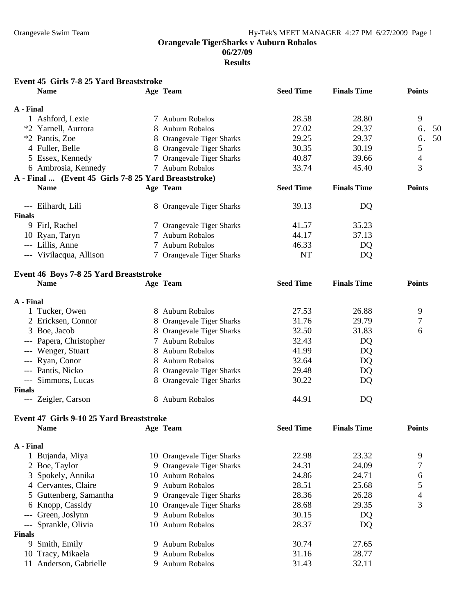**06/27/09** 

**Results** 

### **Event 45 Girls 7-8 25 Yard Breaststroke**

|               | <b>Name</b>                                          |               | Age Team                   | <b>Seed Time</b> | <b>Finals Time</b> | <b>Points</b> |
|---------------|------------------------------------------------------|---------------|----------------------------|------------------|--------------------|---------------|
| A - Final     |                                                      |               |                            |                  |                    |               |
|               | 1 Ashford, Lexie                                     |               | 7 Auburn Robalos           | 28.58            | 28.80              | 9             |
|               | *2 Yarnell, Aurrora                                  |               | 8 Auburn Robalos           | 27.02            | 29.37              | 6.<br>50      |
|               | *2 Pantis, Zoe                                       |               | 8 Orangevale Tiger Sharks  | 29.25            | 29.37              | 50<br>6.      |
|               | 4 Fuller, Belle                                      |               | 8 Orangevale Tiger Sharks  | 30.35            | 30.19              | 5             |
|               | 5 Essex, Kennedy                                     |               | 7 Orangevale Tiger Sharks  | 40.87            | 39.66              | 4             |
|               | 6 Ambrosia, Kennedy                                  |               | 7 Auburn Robalos           | 33.74            | 45.40              | 3             |
|               | A - Final  (Event 45 Girls 7-8 25 Yard Breaststroke) |               |                            |                  |                    |               |
|               | <b>Name</b>                                          |               | Age Team                   | <b>Seed Time</b> | <b>Finals Time</b> | <b>Points</b> |
|               | --- Eilhardt, Lili                                   |               | 8 Orangevale Tiger Sharks  | 39.13            | DQ                 |               |
| <b>Finals</b> |                                                      |               |                            |                  |                    |               |
|               | 9 Firl, Rachel                                       |               | 7 Orangevale Tiger Sharks  | 41.57            | 35.23              |               |
|               | 10 Ryan, Taryn                                       |               | 7 Auburn Robalos           | 44.17            | 37.13              |               |
|               | --- Lillis, Anne                                     |               | 7 Auburn Robalos           | 46.33            | DQ                 |               |
|               | --- Vivilacqua, Allison                              |               | 7 Orangevale Tiger Sharks  | <b>NT</b>        | DQ                 |               |
|               | Event 46 Boys 7-8 25 Yard Breaststroke               |               |                            |                  |                    |               |
|               | <b>Name</b>                                          |               | Age Team                   | <b>Seed Time</b> | <b>Finals Time</b> | <b>Points</b> |
| A - Final     |                                                      |               |                            |                  |                    |               |
|               | 1 Tucker, Owen                                       |               | 8 Auburn Robalos           | 27.53            | 26.88              | 9             |
|               | 2 Ericksen, Connor                                   |               | 8 Orangevale Tiger Sharks  | 31.76            | 29.79              | 7             |
|               | 3 Boe, Jacob                                         |               | 8 Orangevale Tiger Sharks  | 32.50            | 31.83              | 6             |
|               | --- Papera, Christopher                              | $\mathcal{L}$ | <b>Auburn Robalos</b>      | 32.43            | DQ                 |               |
|               | --- Wenger, Stuart                                   | 8             | <b>Auburn Robalos</b>      | 41.99            | DQ                 |               |
|               | --- Ryan, Conor                                      |               | 8 Auburn Robalos           | 32.64            | DQ                 |               |
|               | --- Pantis, Nicko                                    |               | 8 Orangevale Tiger Sharks  | 29.48            | DQ                 |               |
|               | --- Simmons, Lucas                                   |               | 8 Orangevale Tiger Sharks  | 30.22            | DQ                 |               |
| <b>Finals</b> |                                                      |               |                            |                  |                    |               |
|               | --- Zeigler, Carson                                  |               | 8 Auburn Robalos           | 44.91            | DQ                 |               |
|               | Event 47 Girls 9-10 25 Yard Breaststroke             |               |                            |                  |                    |               |
|               | <b>Name</b>                                          |               | Age Team                   | <b>Seed Time</b> | <b>Finals Time</b> | <b>Points</b> |
| A - Final     |                                                      |               |                            |                  |                    |               |
|               | 1 Bujanda, Miya                                      |               | 10 Orangevale Tiger Sharks | 22.98            | 23.32              | 9             |
|               | 2 Boe, Taylor                                        |               | 9 Orangevale Tiger Sharks  | 24.31            | 24.09              | 7             |
| 3             | Spokely, Annika                                      |               | 10 Auburn Robalos          | 24.86            | 24.71              | 6             |
|               | 4 Cervantes, Claire                                  | 9             | <b>Auburn Robalos</b>      | 28.51            | 25.68              | 5             |
|               | Guttenberg, Samantha                                 | 9             | Orangevale Tiger Sharks    | 28.36            | 26.28              | 4             |
| 6             | Knopp, Cassidy                                       |               | 10 Orangevale Tiger Sharks | 28.68            | 29.35              | 3             |
|               | Green, Joslynn                                       | 9             | <b>Auburn Robalos</b>      | 30.15            | DQ                 |               |
| ---           | Sprankle, Olivia                                     | 10            | <b>Auburn Robalos</b>      | 28.37            | DQ                 |               |
| <b>Finals</b> |                                                      |               |                            |                  |                    |               |
|               | 9 Smith, Emily                                       |               | 9 Auburn Robalos           | 30.74            | 27.65              |               |
| 10            | Tracy, Mikaela                                       | 9             | <b>Auburn Robalos</b>      | 31.16            | 28.77              |               |
|               | 11 Anderson, Gabrielle                               |               | 9 Auburn Robalos           | 31.43            | 32.11              |               |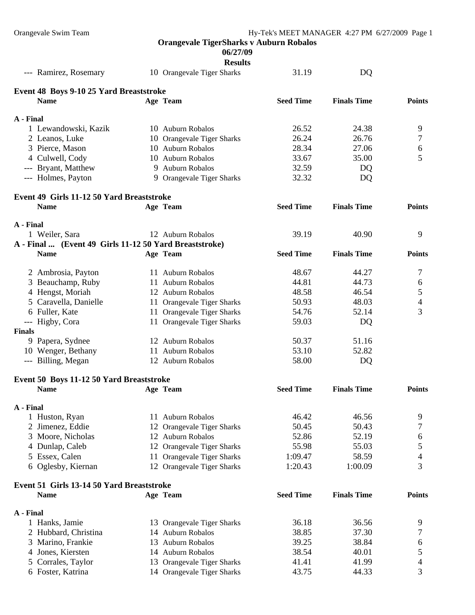## **06/27/09**

|                                                        | <b>Results</b>             |                  |                    |               |
|--------------------------------------------------------|----------------------------|------------------|--------------------|---------------|
| --- Ramirez, Rosemary                                  | 10 Orangevale Tiger Sharks | 31.19            | DQ                 |               |
| Event 48 Boys 9-10 25 Yard Breaststroke                |                            |                  |                    |               |
| <b>Name</b>                                            | Age Team                   | <b>Seed Time</b> | <b>Finals Time</b> | <b>Points</b> |
|                                                        |                            |                  |                    |               |
| A - Final                                              |                            |                  |                    |               |
| 1 Lewandowski, Kazik                                   | 10 Auburn Robalos          | 26.52            | 24.38              | 9             |
| 2 Leanos, Luke                                         | 10 Orangevale Tiger Sharks | 26.24            | 26.76              | 7             |
| 3 Pierce, Mason                                        | 10 Auburn Robalos          | 28.34            | 27.06              | 6             |
| 4 Culwell, Cody                                        | 10 Auburn Robalos          | 33.67            | 35.00              | 5             |
| --- Bryant, Matthew                                    | 9 Auburn Robalos           | 32.59            | DQ                 |               |
| --- Holmes, Payton                                     | 9 Orangevale Tiger Sharks  | 32.32            | DQ                 |               |
| Event 49 Girls 11-12 50 Yard Breaststroke              |                            |                  |                    |               |
| <b>Name</b>                                            | Age Team                   | <b>Seed Time</b> | <b>Finals Time</b> | <b>Points</b> |
| A - Final                                              |                            |                  |                    |               |
| 1 Weiler, Sara                                         | 12 Auburn Robalos          | 39.19            | 40.90              | 9             |
| A - Final  (Event 49 Girls 11-12 50 Yard Breaststroke) |                            |                  |                    |               |
| <b>Name</b>                                            | Age Team                   | <b>Seed Time</b> | <b>Finals Time</b> | <b>Points</b> |
| 2 Ambrosia, Payton                                     | 11 Auburn Robalos          | 48.67            | 44.27              | 7             |
| 3 Beauchamp, Ruby                                      | 11 Auburn Robalos          | 44.81            | 44.73              | 6             |
| 4 Hengst, Moriah                                       | 12 Auburn Robalos          | 48.58            | 46.54              | 5             |
| 5 Caravella, Danielle                                  | 11 Orangevale Tiger Sharks | 50.93            | 48.03              | 4             |
| 6 Fuller, Kate                                         | 11 Orangevale Tiger Sharks | 54.76            | 52.14              | 3             |
| --- Higby, Cora                                        | 11 Orangevale Tiger Sharks | 59.03            | DQ                 |               |
| <b>Finals</b>                                          |                            |                  |                    |               |
| 9 Papera, Sydnee                                       | 12 Auburn Robalos          | 50.37            | 51.16              |               |
| 10 Wenger, Bethany                                     | 11 Auburn Robalos          | 53.10            | 52.82              |               |
| --- Billing, Megan                                     | 12 Auburn Robalos          | 58.00            |                    |               |
|                                                        |                            |                  | DQ                 |               |
| Event 50 Boys 11-12 50 Yard Breaststroke               |                            |                  |                    |               |
| <b>Name</b>                                            | Age Team                   | <b>Seed Time</b> | <b>Finals Time</b> | <b>Points</b> |
| A - Final                                              |                            |                  |                    |               |
| 1 Huston, Ryan                                         | 11 Auburn Robalos          | 46.42            | 46.56              | 9             |
| 2 Jimenez, Eddie                                       | 12 Orangevale Tiger Sharks | 50.45            | 50.43              | 7             |
| 3 Moore, Nicholas                                      | 12 Auburn Robalos          | 52.86            | 52.19              | 6             |
| 4 Dunlap, Caleb                                        | 12 Orangevale Tiger Sharks | 55.98            | 55.03              | 5             |
| 5 Essex, Calen                                         | 11 Orangevale Tiger Sharks | 1:09.47          | 58.59              | 4             |
| 6 Oglesby, Kiernan                                     | 12 Orangevale Tiger Sharks | 1:20.43          | 1:00.09            | 3             |
| Event 51 Girls 13-14 50 Yard Breaststroke              |                            |                  |                    |               |
| <b>Name</b>                                            | Age Team                   | <b>Seed Time</b> | <b>Finals Time</b> | <b>Points</b> |
| A - Final                                              |                            |                  |                    |               |
| 1 Hanks, Jamie                                         | 13 Orangevale Tiger Sharks | 36.18            | 36.56              | 9             |
| 2 Hubbard, Christina                                   | 14 Auburn Robalos          | 38.85            | 37.30              | 7             |
| Marino, Frankie<br>3                                   | 13 Auburn Robalos          | 39.25            | 38.84              | 6             |
| 4 Jones, Kiersten                                      | 14 Auburn Robalos          | 38.54            | 40.01              | 5             |
| Corrales, Taylor                                       | 13 Orangevale Tiger Sharks | 41.41            | 41.99              | 4             |
| 6 Foster, Katrina                                      | 14 Orangevale Tiger Sharks | 43.75            | 44.33              | 3             |
|                                                        |                            |                  |                    |               |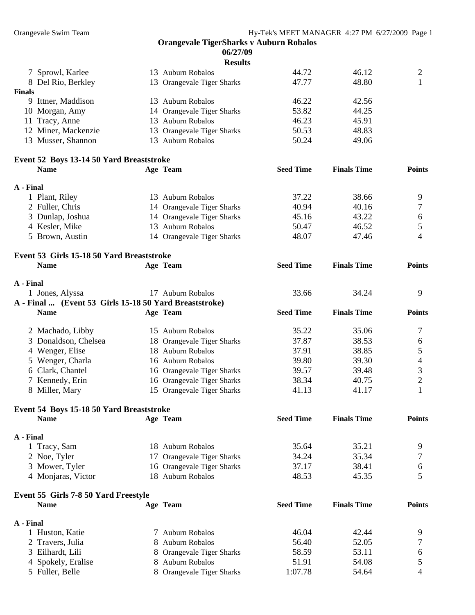|                                                        |   | <b>Orangevale TigerSharks v Auburn Robalos</b>     |                  |                    |                               |
|--------------------------------------------------------|---|----------------------------------------------------|------------------|--------------------|-------------------------------|
| 06/27/09                                               |   |                                                    |                  |                    |                               |
|                                                        |   | <b>Results</b>                                     |                  |                    |                               |
| 7 Sprowl, Karlee                                       |   | 13 Auburn Robalos                                  | 44.72            | 46.12              | 2                             |
| 8 Del Rio, Berkley                                     |   | 13 Orangevale Tiger Sharks                         | 47.77            | 48.80              | $\mathbf{1}$                  |
| Finals                                                 |   |                                                    |                  |                    |                               |
| 9 Ittner, Maddison                                     |   | 13 Auburn Robalos                                  | 46.22            | 42.56              |                               |
|                                                        |   |                                                    | 53.82            | 44.25              |                               |
| 10 Morgan, Amy                                         |   | 14 Orangevale Tiger Sharks                         |                  |                    |                               |
| 11 Tracy, Anne                                         |   | 13 Auburn Robalos                                  | 46.23            | 45.91              |                               |
| 12 Miner, Mackenzie                                    |   | 13 Orangevale Tiger Sharks                         | 50.53            | 48.83              |                               |
| 13 Musser, Shannon                                     |   | 13 Auburn Robalos                                  | 50.24            | 49.06              |                               |
| Event 52 Boys 13-14 50 Yard Breaststroke               |   |                                                    |                  |                    |                               |
| <b>Name</b>                                            |   | Age Team                                           | <b>Seed Time</b> | <b>Finals Time</b> | <b>Points</b>                 |
|                                                        |   |                                                    |                  |                    |                               |
| A - Final                                              |   |                                                    |                  |                    |                               |
| 1 Plant, Riley                                         |   | 13 Auburn Robalos                                  | 37.22            | 38.66              | 9                             |
| 2 Fuller, Chris                                        |   |                                                    | 40.94            | 40.16              | 7                             |
|                                                        |   | 14 Orangevale Tiger Sharks                         |                  |                    |                               |
| 3 Dunlap, Joshua                                       |   | 14 Orangevale Tiger Sharks                         | 45.16            | 43.22              | 6                             |
| 4 Kesler, Mike                                         |   | 13 Auburn Robalos                                  | 50.47            | 46.52              | 5                             |
| 5 Brown, Austin                                        |   | 14 Orangevale Tiger Sharks                         | 48.07            | 47.46              | 4                             |
|                                                        |   |                                                    |                  |                    |                               |
| Event 53 Girls 15-18 50 Yard Breaststroke              |   |                                                    |                  |                    |                               |
| <b>Name</b>                                            |   | Age Team                                           | <b>Seed Time</b> | <b>Finals Time</b> | <b>Points</b>                 |
|                                                        |   |                                                    |                  |                    |                               |
| A - Final                                              |   |                                                    |                  |                    |                               |
| 1 Jones, Alyssa                                        |   | 17 Auburn Robalos                                  | 33.66            | 34.24              | 9                             |
| A - Final  (Event 53 Girls 15-18 50 Yard Breaststroke) |   |                                                    |                  |                    |                               |
| <b>Name</b>                                            |   | Age Team                                           | <b>Seed Time</b> | <b>Finals Time</b> | <b>Points</b>                 |
|                                                        |   |                                                    |                  |                    |                               |
|                                                        |   |                                                    |                  |                    |                               |
| 2 Machado, Libby                                       |   | 15 Auburn Robalos                                  | 35.22            | 35.06              | 7                             |
| 3 Donaldson, Chelsea                                   |   | 18 Orangevale Tiger Sharks                         | 37.87            | 38.53              | 6                             |
| 4 Wenger, Elise                                        |   | 18 Auburn Robalos                                  | 37.91            | 38.85              | 5                             |
|                                                        |   | 16 Auburn Robalos                                  | 39.80            | 39.30              | 4                             |
| 5 Wenger, Charla                                       |   |                                                    |                  |                    |                               |
| 6 Clark, Chantel                                       |   | 16 Orangevale Tiger Sharks                         | 39.57            | 39.48              | 3                             |
| 7 Kennedy, Erin                                        |   | 16 Orangevale Tiger Sharks                         | 38.34            | 40.75              | $\overline{2}$                |
| 8 Miller, Mary                                         |   | 15 Orangevale Tiger Sharks                         | 41.13            | 41.17              |                               |
| Event 54 Boys 15-18 50 Yard Breaststroke               |   |                                                    |                  |                    |                               |
| <b>Name</b>                                            |   | Age Team                                           | <b>Seed Time</b> | <b>Finals Time</b> | <b>Points</b>                 |
|                                                        |   |                                                    |                  |                    |                               |
| A - Final                                              |   |                                                    |                  |                    |                               |
| 1 Tracy, Sam                                           |   | 18 Auburn Robalos                                  | 35.64            | 35.21              | 9                             |
|                                                        |   |                                                    | 34.24            | 35.34              | 7                             |
| 2 Noe, Tyler                                           |   | 17 Orangevale Tiger Sharks                         |                  |                    |                               |
| 3 Mower, Tyler                                         |   | 16 Orangevale Tiger Sharks                         | 37.17            | 38.41              | 6                             |
| 4 Monjaras, Victor                                     |   | 18 Auburn Robalos                                  | 48.53            | 45.35              | 5                             |
|                                                        |   |                                                    |                  |                    |                               |
| Event 55 Girls 7-8 50 Yard Freestyle<br><b>Name</b>    |   | Age Team                                           | <b>Seed Time</b> | <b>Finals Time</b> | <b>Points</b>                 |
|                                                        |   |                                                    |                  |                    |                               |
| A - Final                                              |   |                                                    |                  |                    |                               |
| 1 Huston, Katie                                        |   | 7 Auburn Robalos                                   | 46.04            | 42.44              | 9                             |
|                                                        |   | <b>Auburn Robalos</b>                              | 56.40            | 52.05              | 7                             |
| 2 Travers, Julia                                       |   |                                                    |                  |                    |                               |
| 3 Eilhardt, Lili                                       |   | Orangevale Tiger Sharks                            | 58.59            | 53.11              | 6                             |
| 4 Spokely, Eralise<br>5 Fuller, Belle                  | 8 | <b>Auburn Robalos</b><br>8 Orangevale Tiger Sharks | 51.91<br>1:07.78 | 54.08<br>54.64     | 5<br>$\overline{\mathcal{L}}$ |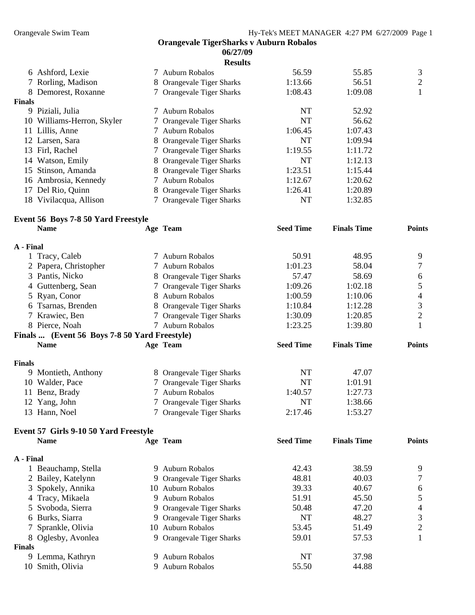51.91 45.50 5

#### **Orangevale TigerSharks v Auburn Robalos 06/27/09 Results**

|                     |                                                                                                                                                                                                                                    | <b>Results</b> |                                                                                                                                                                                                                                                                                                                                                   |         |   |
|---------------------|------------------------------------------------------------------------------------------------------------------------------------------------------------------------------------------------------------------------------------|----------------|---------------------------------------------------------------------------------------------------------------------------------------------------------------------------------------------------------------------------------------------------------------------------------------------------------------------------------------------------|---------|---|
|                     |                                                                                                                                                                                                                                    |                | 56.59                                                                                                                                                                                                                                                                                                                                             | 55.85   | 3 |
|                     |                                                                                                                                                                                                                                    |                | 1:13.66                                                                                                                                                                                                                                                                                                                                           | 56.51   | 2 |
|                     |                                                                                                                                                                                                                                    |                | 1:08.43                                                                                                                                                                                                                                                                                                                                           | 1:09.08 |   |
|                     |                                                                                                                                                                                                                                    |                |                                                                                                                                                                                                                                                                                                                                                   |         |   |
|                     |                                                                                                                                                                                                                                    |                | NT                                                                                                                                                                                                                                                                                                                                                | 52.92   |   |
|                     |                                                                                                                                                                                                                                    |                | NT                                                                                                                                                                                                                                                                                                                                                | 56.62   |   |
| Lillis, Anne        |                                                                                                                                                                                                                                    |                | 1:06.45                                                                                                                                                                                                                                                                                                                                           | 1:07.43 |   |
|                     |                                                                                                                                                                                                                                    |                | NT                                                                                                                                                                                                                                                                                                                                                | 1:09.94 |   |
|                     |                                                                                                                                                                                                                                    |                | 1:19.55                                                                                                                                                                                                                                                                                                                                           | 1:11.72 |   |
|                     |                                                                                                                                                                                                                                    |                | NT                                                                                                                                                                                                                                                                                                                                                | 1:12.13 |   |
|                     |                                                                                                                                                                                                                                    |                | 1:23.51                                                                                                                                                                                                                                                                                                                                           | 1:15.44 |   |
| Ambrosia, Kennedy   |                                                                                                                                                                                                                                    |                | 1:12.67                                                                                                                                                                                                                                                                                                                                           | 1:20.62 |   |
| Del Rio, Quinn      |                                                                                                                                                                                                                                    |                | 1:26.41                                                                                                                                                                                                                                                                                                                                           | 1:20.89 |   |
| Vivilacqua, Allison |                                                                                                                                                                                                                                    |                | NT                                                                                                                                                                                                                                                                                                                                                | 1:32.85 |   |
|                     | 6 Ashford, Lexie<br>7 Rorling, Madison<br>8 Demorest, Roxanne<br>Finals<br>9 Piziali, Julia<br>10 Williams-Herron, Skyler<br>11<br>12 Larsen, Sara<br>13 Firl, Rachel<br>14 Watson, Emily<br>15 Stinson, Amanda<br>16<br>17<br>18. |                | 7 Auburn Robalos<br>8 Orangevale Tiger Sharks<br>7 Orangevale Tiger Sharks<br>7 Auburn Robalos<br>7 Orangevale Tiger Sharks<br>7 Auburn Robalos<br>8 Orangevale Tiger Sharks<br>7 Orangevale Tiger Sharks<br>8 Orangevale Tiger Sharks<br>8 Orangevale Tiger Sharks<br>7 Auburn Robalos<br>8 Orangevale Tiger Sharks<br>7 Orangevale Tiger Sharks |         |   |

#### **Event 56 Boys 7-8 50 Yard Freestyle**

4 Tracy, Mikaela 9 Auburn Robalos

8 Oglesby, Avonlea

**Finals** 

|               | <b>Name</b>                                   |   | Age Team                       | <b>Seed Time</b> | <b>Finals Time</b> | <b>Points</b>  |
|---------------|-----------------------------------------------|---|--------------------------------|------------------|--------------------|----------------|
| A - Final     |                                               |   |                                |                  |                    |                |
|               | 1 Tracy, Caleb                                |   | 7 Auburn Robalos               | 50.91            | 48.95              | 9              |
|               | 2 Papera, Christopher                         |   | 7 Auburn Robalos               | 1:01.23          | 58.04              | 7              |
|               | 3 Pantis, Nicko                               |   | 8 Orangevale Tiger Sharks      | 57.47            | 58.69              | 6              |
|               | 4 Guttenberg, Sean                            |   | 7 Orangevale Tiger Sharks      | 1:09.26          | 1:02.18            | 5              |
|               | 5 Ryan, Conor                                 | 8 | Auburn Robalos                 | 1:00.59          | 1:10.06            | 4              |
|               | 6 Tsarnas, Brenden                            | 8 | <b>Orangevale Tiger Sharks</b> | 1:10.84          | 1:12.28            | 3              |
|               | 7 Krawiec, Ben                                |   | 7 Orangevale Tiger Sharks      | 1:30.09          | 1:20.85            | $\overline{2}$ |
|               | 8 Pierce, Noah                                |   | 7 Auburn Robalos               | 1:23.25          | 1:39.80            |                |
|               | Finals  (Event 56 Boys 7-8 50 Yard Freestyle) |   |                                |                  |                    |                |
|               | <b>Name</b>                                   |   | Age Team                       | <b>Seed Time</b> | <b>Finals Time</b> | <b>Points</b>  |
| <b>Finals</b> |                                               |   |                                |                  |                    |                |
|               | 9 Montieth, Anthony                           |   | 8 Orangevale Tiger Sharks      | NT               | 47.07              |                |
|               | 10 Walder, Pace                               |   | 7 Orangevale Tiger Sharks      | NT               | 1:01.91            |                |
|               | 11 Benz, Brady                                |   | 7 Auburn Robalos               | 1:40.57          | 1:27.73            |                |
|               | 12 Yang, John                                 |   | 7 Orangevale Tiger Sharks      | <b>NT</b>        | 1:38.66            |                |
|               | 13 Hann, Noel                                 |   | 7 Orangevale Tiger Sharks      | 2:17.46          | 1:53.27            |                |
|               | Event 57 Girls 9-10 50 Yard Freestyle         |   |                                |                  |                    |                |
|               | <b>Name</b>                                   |   | Age Team                       | <b>Seed Time</b> | <b>Finals Time</b> | <b>Points</b>  |
| A - Final     |                                               |   |                                |                  |                    |                |
|               | 1 Beauchamp, Stella                           |   | 9 Auburn Robalos               | 42.43            | 38.59              | 9              |
|               | 2 Bailey, Katelynn                            |   | 9 Orangevale Tiger Sharks      | 48.81            | 40.03              | $\overline{7}$ |

5 Svoboda, Sierra 9 Orangevale Tiger Sharks 50.48 47.20 4 6 Burks, Siarra 19 Orangevale Tiger Sharks 19 NT 48.27 3

7 Sprankle, Olivia 10 Auburn Robalos 53.45 51.49 2

9 Lemma, Kathryn 9 Auburn Robalos NT 37.98 10 Smith, Olivia **9 Auburn Robalos** 55.50 44.88

3 Spokely, Annika 10 Auburn Robalos 39.33 40.67 6

9 Orangevale Tiger Sharks 59.01 57.53 1

55.50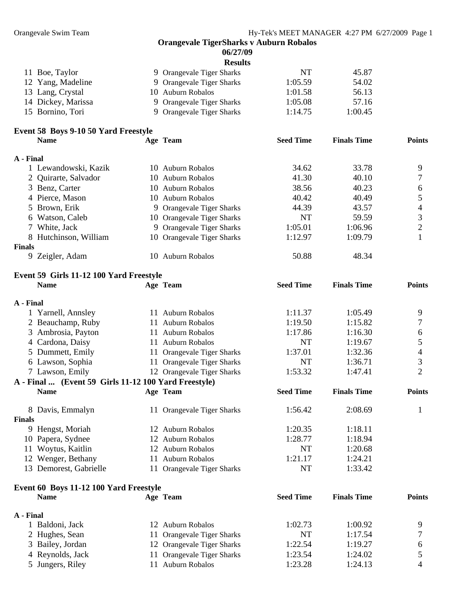|                                                      |   | <b>Orangevale TigerSharks v Auburn Robalos</b><br>06/27/09 |                  |                    |                |
|------------------------------------------------------|---|------------------------------------------------------------|------------------|--------------------|----------------|
|                                                      |   | <b>Results</b>                                             |                  |                    |                |
| 11 Boe, Taylor                                       |   | 9 Orangevale Tiger Sharks                                  | <b>NT</b>        | 45.87              |                |
| 12 Yang, Madeline                                    |   | 9 Orangevale Tiger Sharks                                  | 1:05.59          | 54.02              |                |
| 13 Lang, Crystal                                     |   | 10 Auburn Robalos                                          | 1:01.58          | 56.13              |                |
| 14 Dickey, Marissa                                   | 9 | Orangevale Tiger Sharks                                    | 1:05.08          | 57.16              |                |
| 15 Bornino, Tori                                     |   | 9 Orangevale Tiger Sharks                                  | 1:14.75          | 1:00.45            |                |
| Event 58 Boys 9-10 50 Yard Freestyle                 |   |                                                            |                  |                    |                |
| <b>Name</b>                                          |   | Age Team                                                   | <b>Seed Time</b> | <b>Finals Time</b> | <b>Points</b>  |
| A - Final                                            |   |                                                            |                  |                    |                |
| 1 Lewandowski, Kazik                                 |   | 10 Auburn Robalos                                          | 34.62            | 33.78              | 9              |
| 2 Quirarte, Salvador                                 |   | 10 Auburn Robalos                                          | 41.30            | 40.10              | 7              |
| 3 Benz, Carter                                       |   | 10 Auburn Robalos                                          | 38.56            | 40.23              | 6              |
| 4 Pierce, Mason                                      |   | 10 Auburn Robalos                                          | 40.42            | 40.49              | 5              |
| 5 Brown, Erik                                        |   | 9 Orangevale Tiger Sharks                                  | 44.39            | 43.57              | 4              |
| 6 Watson, Caleb                                      |   | 10 Orangevale Tiger Sharks                                 | NT               | 59.59              | 3              |
| 7 White, Jack                                        |   | 9 Orangevale Tiger Sharks                                  | 1:05.01          | 1:06.96            | $\overline{2}$ |
| 8 Hutchinson, William                                |   | 10 Orangevale Tiger Sharks                                 | 1:12.97          | 1:09.79            | 1              |
| <b>Finals</b><br>9 Zeigler, Adam                     |   | 10 Auburn Robalos                                          | 50.88            | 48.34              |                |
| Event 59 Girls 11-12 100 Yard Freestyle              |   |                                                            |                  |                    |                |
| <b>Name</b>                                          |   | Age Team                                                   | <b>Seed Time</b> | <b>Finals Time</b> | <b>Points</b>  |
| A - Final                                            |   |                                                            |                  |                    |                |
| 1 Yarnell, Annsley                                   |   | 11 Auburn Robalos                                          | 1:11.37          | 1:05.49            | 9              |
| 2 Beauchamp, Ruby                                    |   | 11 Auburn Robalos                                          | 1:19.50          | 1:15.82            | 7              |
| 3 Ambrosia, Payton                                   |   | 11 Auburn Robalos                                          | 1:17.86          | 1:16.30            | 6              |
| 4 Cardona, Daisy                                     |   | 11 Auburn Robalos                                          | <b>NT</b>        | 1:19.67            | 5              |
| 5 Dummett, Emily                                     |   | 11 Orangevale Tiger Sharks                                 | 1:37.01          | 1:32.36            | 4              |
| 6 Lawson, Sophia                                     |   | 11 Orangevale Tiger Sharks                                 | NT               | 1:36.71            | 3              |
| 7 Lawson, Emily                                      |   | 12 Orangevale Tiger Sharks                                 | 1:53.32          | 1:47.41            | $\overline{2}$ |
| A - Final  (Event 59 Girls 11-12 100 Yard Freestyle) |   |                                                            |                  |                    |                |
| <b>Name</b>                                          |   | Age Team                                                   | <b>Seed Time</b> | <b>Finals Time</b> | <b>Points</b>  |
| 8 Davis, Emmalyn                                     |   | 11 Orangevale Tiger Sharks                                 | 1:56.42          | 2:08.69            | 1              |
| <b>Finals</b>                                        |   |                                                            |                  |                    |                |
| 9 Hengst, Moriah                                     |   | 12 Auburn Robalos                                          | 1:20.35          | 1:18.11            |                |
| 10 Papera, Sydnee                                    |   | 12 Auburn Robalos                                          | 1:28.77          | 1:18.94            |                |
| 11 Woytus, Kaitlin                                   |   | 12 Auburn Robalos                                          | <b>NT</b>        | 1:20.68            |                |
| 12 Wenger, Bethany                                   |   | 11 Auburn Robalos                                          | 1:21.17          | 1:24.21            |                |
| 13 Demorest, Gabrielle                               |   | 11 Orangevale Tiger Sharks                                 | <b>NT</b>        | 1:33.42            |                |
| Event 60 Boys 11-12 100 Yard Freestyle               |   |                                                            |                  |                    |                |
| <b>Name</b>                                          |   | Age Team                                                   | <b>Seed Time</b> | <b>Finals Time</b> | <b>Points</b>  |
| A - Final                                            |   |                                                            |                  |                    |                |
| 1 Baldoni, Jack                                      |   | 12 Auburn Robalos                                          | 1:02.73          | 1:00.92            | 9              |
| 2 Hughes, Sean                                       |   | 11 Orangevale Tiger Sharks                                 | NT               | 1:17.54            | 7              |

3 Bailey, Jordan 12 Orangevale Tiger Sharks 1:22.54 1:19.27 6 4 Reynolds, Jack 11 Orangevale Tiger Sharks 1:23.54 1:24.02 5 5 Jungers, Riley 11 Auburn Robalos 1:23.28 1:24.13 4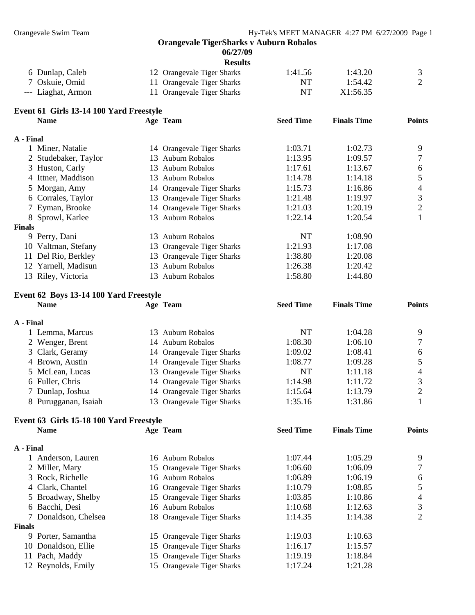**06/27/09** 

| 6 Dunlap, Caleb    | 12 Orangevale Tiger Sharks | 1:41.56 | 1:43.20  |  |
|--------------------|----------------------------|---------|----------|--|
| 7 Oskuie, Omid     | 11 Orangevale Tiger Sharks | NT.     | 1:54.42  |  |
| --- Liaghat, Armon | 11 Orangevale Tiger Sharks | NT      | X1:56.35 |  |

## **Event 61 Girls 13-14 100 Yard Freestyle**

|               | <b>Name</b>          |     | Age Team                   | <b>Seed Time</b> | <b>Finals Time</b> | <b>Points</b> |
|---------------|----------------------|-----|----------------------------|------------------|--------------------|---------------|
| A - Final     |                      |     |                            |                  |                    |               |
|               | 1 Miner, Natalie     |     | 14 Orangevale Tiger Sharks | 1:03.71          | 1:02.73            | 9             |
|               | 2 Studebaker, Taylor |     | 13 Auburn Robalos          | 1:13.95          | 1:09.57            |               |
|               | 3 Huston, Carly      | 13. | Auburn Robalos             | 1:17.61          | 1:13.67            | 6             |
|               | 4 Ittner, Maddison   |     | 13 Auburn Robalos          | 1:14.78          | 1:14.18            |               |
|               | 5 Morgan, Amy        |     | 14 Orangevale Tiger Sharks | 1:15.73          | 1:16.86            | 4             |
|               | 6 Corrales, Taylor   |     | 13 Orangevale Tiger Sharks | 1:21.48          | 1:19.97            | 3             |
|               | 7 Eyman, Brooke      |     | 14 Orangevale Tiger Sharks | 1:21.03          | 1:20.19            | 2             |
|               | 8 Sprowl, Karlee     |     | 13 Auburn Robalos          | 1:22.14          | 1:20.54            |               |
| <b>Finals</b> |                      |     |                            |                  |                    |               |
|               | 9 Perry, Dani        | 13. | Auburn Robalos             | NT               | 1:08.90            |               |
| 10-           | Valtman, Stefany     |     | 13 Orangevale Tiger Sharks | 1:21.93          | 1:17.08            |               |
| 11            | Del Rio, Berkley     |     | 13 Orangevale Tiger Sharks | 1:38.80          | 1:20.08            |               |
| 12            | Yarnell, Madisun     | 13. | <b>Auburn Robalos</b>      | 1:26.38          | 1:20.42            |               |
|               | 13 Riley, Victoria   | 13. | Auburn Robalos             | 1:58.80          | 1:44.80            |               |

### **Event 62 Boys 13-14 100 Yard Freestyle**

| <b>Name</b>          | Age Team                   | <b>Seed Time</b> | <b>Finals Time</b> | <b>Points</b> |
|----------------------|----------------------------|------------------|--------------------|---------------|
| A - Final            |                            |                  |                    |               |
| 1 Lemma, Marcus      | Auburn Robalos<br>13.      | NT               | 1:04.28            | 9             |
| 2 Wenger, Brent      | 14 Auburn Robalos          | 1:08.30          | 1:06.10            |               |
| 3 Clark, Geramy      | 14 Orangevale Tiger Sharks | 1:09.02          | 1:08.41            | 6             |
| 4 Brown, Austin      | 14 Orangevale Tiger Sharks | 1:08.77          | 1:09.28            |               |
| 5 McLean, Lucas      | 13 Orangevale Tiger Sharks | NT               | 1:11.18            | 4             |
| 6 Fuller, Chris      | 14 Orangevale Tiger Sharks | 1:14.98          | 1:11.72            |               |
| 7 Dunlap, Joshua     | 14 Orangevale Tiger Sharks | 1:15.64          | 1:13.79            |               |
| 8 Purugganan, Isaiah | 13 Orangevale Tiger Sharks | 1:35.16          | 1:31.86            |               |

|               | Event 63 Girls 15-18 100 Yard Freestyle |  |                            |                  |                    |               |  |  |
|---------------|-----------------------------------------|--|----------------------------|------------------|--------------------|---------------|--|--|
|               | <b>Name</b>                             |  | Age Team                   | <b>Seed Time</b> | <b>Finals Time</b> | <b>Points</b> |  |  |
| A - Final     |                                         |  |                            |                  |                    |               |  |  |
|               | Anderson, Lauren                        |  | 16 Auburn Robalos          | 1:07.44          | 1:05.29            | 9             |  |  |
|               | 2 Miller, Mary                          |  | 15 Orangevale Tiger Sharks | 1:06.60          | 1:06.09            |               |  |  |
|               | 3 Rock, Richelle                        |  | 16 Auburn Robalos          | 1:06.89          | 1:06.19            | 6             |  |  |
|               | 4 Clark, Chantel                        |  | 16 Orangevale Tiger Sharks | 1:10.79          | 1:08.85            |               |  |  |
|               | 5 Broadway, Shelby                      |  | 15 Orangevale Tiger Sharks | 1:03.85          | 1:10.86            | 4             |  |  |
|               | 6 Bacchi, Desi                          |  | 16 Auburn Robalos          | 1:10.68          | 1:12.63            | 3             |  |  |
|               | 7 Donaldson, Chelsea                    |  | 18 Orangevale Tiger Sharks | 1:14.35          | 1:14.38            | 2             |  |  |
| <b>Finals</b> |                                         |  |                            |                  |                    |               |  |  |
| 9.            | Porter, Samantha                        |  | 15 Orangevale Tiger Sharks | 1:19.03          | 1:10.63            |               |  |  |
|               | 10 Donaldson, Ellie                     |  | 15 Orangevale Tiger Sharks | 1:16.17          | 1:15.57            |               |  |  |
| 11            | Pach, Maddy                             |  | 15 Orangevale Tiger Sharks | 1:19.19          | 1:18.84            |               |  |  |
|               | 12 Reynolds, Emily                      |  | 15 Orangevale Tiger Sharks | 1:17.24          | 1:21.28            |               |  |  |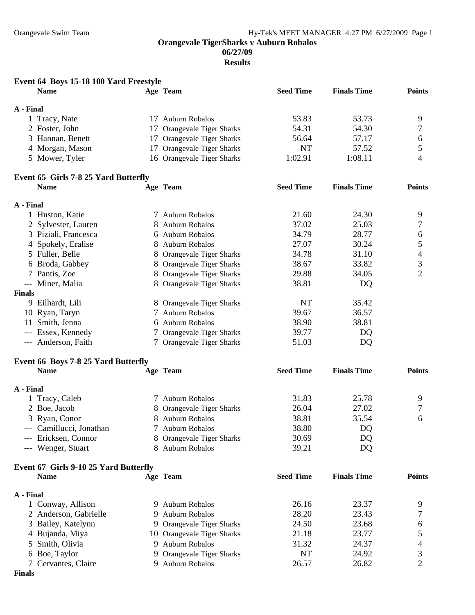**06/27/09** 

| Event 64 Boys 15-18 100 Yard Freestyle |                            |                  |                    |                |
|----------------------------------------|----------------------------|------------------|--------------------|----------------|
| <b>Name</b>                            | Age Team                   | <b>Seed Time</b> | <b>Finals Time</b> | <b>Points</b>  |
| A - Final                              |                            |                  |                    |                |
| 1 Tracy, Nate                          | 17 Auburn Robalos          | 53.83            | 53.73              | 9              |
| 2 Foster, John                         | 17 Orangevale Tiger Sharks | 54.31            | 54.30              | 7              |
| 3 Hannan, Benett                       | 17 Orangevale Tiger Sharks | 56.64            | 57.17              | 6              |
| 4 Morgan, Mason                        | 17 Orangevale Tiger Sharks | <b>NT</b>        | 57.52              | 5              |
| 5 Mower, Tyler                         | 16 Orangevale Tiger Sharks | 1:02.91          | 1:08.11            | 4              |
| Event 65 Girls 7-8 25 Yard Butterfly   |                            |                  |                    |                |
| <b>Name</b>                            | Age Team                   | <b>Seed Time</b> | <b>Finals Time</b> | <b>Points</b>  |
| A - Final                              |                            |                  |                    |                |
| 1 Huston, Katie                        | 7 Auburn Robalos           | 21.60            | 24.30              | 9              |
| 2 Sylvester, Lauren                    | 8 Auburn Robalos           | 37.02            | 25.03              | 7              |
| 3 Piziali, Francesca                   | 6 Auburn Robalos           | 34.79            | 28.77              | 6              |
| 4 Spokely, Eralise                     | 8 Auburn Robalos           | 27.07            | 30.24              | 5              |
| 5 Fuller, Belle                        | 8 Orangevale Tiger Sharks  | 34.78            | 31.10              | 4              |
| 6 Broda, Gabbey                        | 8 Orangevale Tiger Sharks  | 38.67            | 33.82              | 3              |
| 7 Pantis, Zoe                          | 8 Orangevale Tiger Sharks  | 29.88            | 34.05              | $\overline{2}$ |
| --- Miner, Malia                       | 8 Orangevale Tiger Sharks  | 38.81            | DQ                 |                |
| <b>Finals</b>                          |                            |                  |                    |                |
| 9 Eilhardt, Lili                       | 8 Orangevale Tiger Sharks  | NT               | 35.42              |                |
| 10 Ryan, Taryn                         | 7 Auburn Robalos           | 39.67            | 36.57              |                |
| 11 Smith, Jenna                        | 6 Auburn Robalos           | 38.90            | 38.81              |                |
| --- Essex, Kennedy                     | 7 Orangevale Tiger Sharks  | 39.77            | DQ                 |                |
| --- Anderson, Faith                    | 7 Orangevale Tiger Sharks  | 51.03            | DQ                 |                |
| Event 66 Boys 7-8 25 Yard Butterfly    |                            |                  |                    |                |
| <b>Name</b>                            | Age Team                   | <b>Seed Time</b> | <b>Finals Time</b> | <b>Points</b>  |
| A - Final                              |                            |                  |                    |                |
| 1 Tracy, Caleb                         | 7 Auburn Robalos           | 31.83            | 25.78              | 9              |
| 2 Boe, Jacob                           | 8 Orangevale Tiger Sharks  | 26.04            | 27.02              | 7              |
| 3 Ryan, Conor                          | 8 Auburn Robalos           | 38.81            | 35.54              | 6              |
| --- Camillucci, Jonathan               | 7 Auburn Robalos           | 38.80            | DQ                 |                |
| --- Ericksen, Connor                   | 8 Orangevale Tiger Sharks  | 30.69            | DQ                 |                |
| --- Wenger, Stuart                     | 8 Auburn Robalos           | 39.21            | DQ                 |                |
| Event 67 Girls 9-10 25 Yard Butterfly  |                            |                  |                    |                |
| <b>Name</b>                            | Age Team                   | <b>Seed Time</b> | <b>Finals Time</b> | <b>Points</b>  |
| A - Final                              |                            |                  |                    |                |
| 1 Conway, Allison                      | 9 Auburn Robalos           | 26.16            | 23.37              | 9              |
| 2 Anderson, Gabrielle                  | 9 Auburn Robalos           | 28.20            | 23.43              | 7              |
| 3 Bailey, Katelynn                     | 9 Orangevale Tiger Sharks  | 24.50            | 23.68              | 6              |
| 4 Bujanda, Miya                        | 10 Orangevale Tiger Sharks | 21.18            | 23.77              | 5              |
| 5 Smith, Olivia                        | 9 Auburn Robalos           | 31.32            | 24.37              | 4              |
| 6 Boe, Taylor                          | 9 Orangevale Tiger Sharks  | NT               | 24.92              | 3              |
| 7 Cervantes, Claire                    | 9 Auburn Robalos           | 26.57            | 26.82              | 2              |
| <b>Finals</b>                          |                            |                  |                    |                |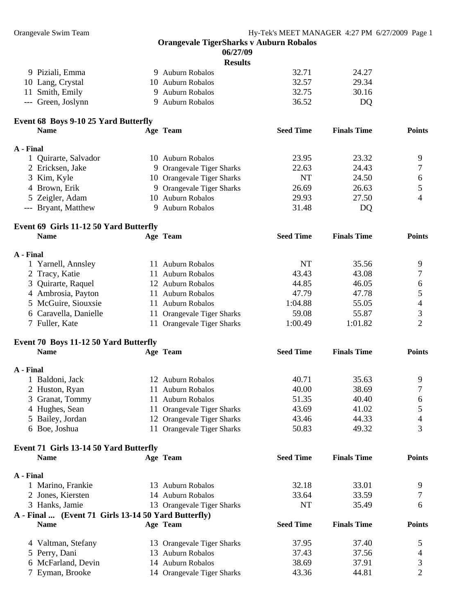|         |  | $00/41107$ |  |
|---------|--|------------|--|
| Recults |  |            |  |

|                    |                   | rcouns |       |       |
|--------------------|-------------------|--------|-------|-------|
| 9 Piziali, Emma    | 9 Auburn Robalos  |        | 32.71 | 24.27 |
| 10 Lang, Crystal   | 10 Auburn Robalos |        | 32.57 | 29.34 |
| 11 Smith, Emily    | 9 Auburn Robalos  |        | 32.75 | 30.16 |
| --- Green, Joslynn | 9 Auburn Robalos  |        | 36.52 | DO.   |

## **Event 68 Boys 9-10 25 Yard Butterfly**

| <b>Name</b>          | Age Team                   | <b>Seed Time</b> | <b>Finals Time</b> | <b>Points</b> |
|----------------------|----------------------------|------------------|--------------------|---------------|
| A - Final            |                            |                  |                    |               |
| 1 Quirarte, Salvador | 10 Auburn Robalos          | 23.95            | 23.32              |               |
| 2 Ericksen, Jake     | 9 Orangevale Tiger Sharks  | 22.63            | 24.43              |               |
| 3 Kim, Kyle          | 10 Orangevale Tiger Sharks | NT               | 24.50              | 6             |
| 4 Brown, Erik        | 9 Orangevale Tiger Sharks  | 26.69            | 26.63              |               |
| 5 Zeigler, Adam      | 10 Auburn Robalos          | 29.93            | 27.50              |               |
| --- Bryant, Matthew  | Auburn Robalos             | 31.48            | DO                 |               |

#### **Event 69 Girls 11-12 50 Yard Butterfly Name Age Team Seed Time Finals Time Points**

| A - Final             |                            |         |         |   |
|-----------------------|----------------------------|---------|---------|---|
| 1 Yarnell, Annsley    | 11 Auburn Robalos          | NT      | 35.56   | Q |
| 2 Tracy, Katie        | 11 Auburn Robalos          | 43.43   | 43.08   |   |
| 3 Quirarte, Raquel    | 12 Auburn Robalos          | 44.85   | 46.05   |   |
| 4 Ambrosia, Payton    | 11 Auburn Robalos          | 47.79   | 47.78   |   |
| 5 McGuire, Siouxsie   | 11 Auburn Robalos          | 1:04.88 | 55.05   |   |
| 6 Caravella, Danielle | 11 Orangevale Tiger Sharks | 59.08   | 55.87   |   |
| 7 Fuller, Kate        | 11 Orangevale Tiger Sharks | 1:00.49 | 1:01.82 |   |

### **Event 70 Boys 11-12 50 Yard Butterfly**

| <b>Name</b>      | Age Team                       | <b>Seed Time</b> | <b>Finals Time</b> | <b>Points</b> |
|------------------|--------------------------------|------------------|--------------------|---------------|
| A - Final        |                                |                  |                    |               |
| 1 Baldoni, Jack  | 12 Auburn Robalos              | 40.71            | 35.63              |               |
| 2 Huston, Ryan   | Auburn Robalos<br>Ħ            | 40.00            | 38.69              |               |
| 3 Granat, Tommy  | Auburn Robalos                 | 51.35            | 40.40              | 6             |
| 4 Hughes, Sean   | 11 Orangevale Tiger Sharks     | 43.69            | 41.02              |               |
| 5 Bailey, Jordan | 12 Orangevale Tiger Sharks     | 43.46            | 44.33              | 4             |
| 6 Boe, Joshua    | <b>Orangevale Tiger Sharks</b> | 50.83            | 49.32              |               |

## **Event 71 Girls 13-14 50 Yard Butterfly Name Age Team Seed Time Finals Time Points A - Final**  1 Marino, Frankie 13 Auburn Robalos 32.18 33.01 9 2 Jones, Kiersten 14 Auburn Robalos 33.64 33.59 7 3 Hanks, Jamie 13 Orangevale Tiger Sharks NT 35.49 6 **A - Final ... (Event 71 Girls 13-14 50 Yard Butterfly) Name Age Team Seed Time Finals Time Points**  4 Valtman, Stefany 13 Orangevale Tiger Sharks 37.95 37.40 5 5 Perry, Dani 13 Auburn Robalos 37.43 37.56 4

| 5 Perry, Dani      | 13 Auburn Robalos          | 37.43 | 37.56 |  |
|--------------------|----------------------------|-------|-------|--|
| 6 McFarland, Devin | 14 Auburn Robalos          | 38.69 | 37.91 |  |
| 7 Eyman, Brooke    | 14 Orangevale Tiger Sharks | 43.36 | 44.81 |  |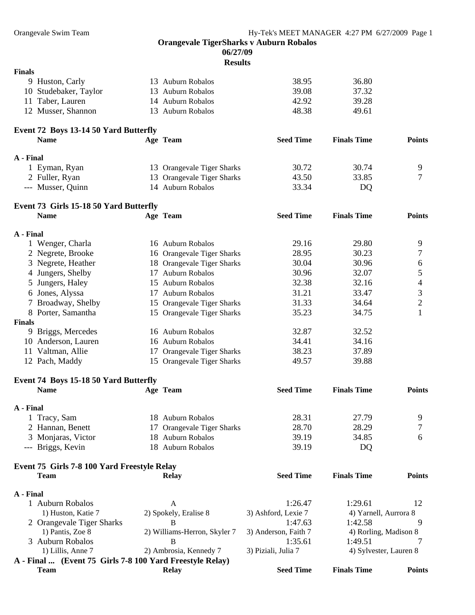#### **06/27/09**

| <b>Finals</b>                                              |                              |                                |                                  |                |
|------------------------------------------------------------|------------------------------|--------------------------------|----------------------------------|----------------|
| 9 Huston, Carly                                            | 13 Auburn Robalos            | 38.95                          | 36.80                            |                |
| 10 Studebaker, Taylor                                      | 13 Auburn Robalos            | 39.08                          | 37.32                            |                |
| Taber, Lauren<br>11                                        | 14 Auburn Robalos            | 42.92                          | 39.28                            |                |
| 12 Musser, Shannon                                         | 13 Auburn Robalos            | 48.38                          | 49.61                            |                |
| Event 72 Boys 13-14 50 Yard Butterfly                      |                              |                                |                                  |                |
| <b>Name</b>                                                | Age Team                     | <b>Seed Time</b>               | <b>Finals Time</b>               | <b>Points</b>  |
| A - Final                                                  |                              |                                |                                  |                |
| 1 Eyman, Ryan                                              | 13 Orangevale Tiger Sharks   | 30.72                          | 30.74                            | 9              |
| 2 Fuller, Ryan                                             | 13 Orangevale Tiger Sharks   | 43.50                          | 33.85                            | 7              |
| --- Musser, Quinn                                          | 14 Auburn Robalos            | 33.34                          | DQ                               |                |
|                                                            |                              |                                |                                  |                |
| Event 73 Girls 15-18 50 Yard Butterfly<br><b>Name</b>      | Age Team                     | <b>Seed Time</b>               | <b>Finals Time</b>               | <b>Points</b>  |
|                                                            |                              |                                |                                  |                |
| A - Final                                                  |                              |                                |                                  |                |
| 1 Wenger, Charla                                           | 16 Auburn Robalos            | 29.16                          | 29.80                            | 9              |
| 2 Negrete, Brooke                                          | 16 Orangevale Tiger Sharks   | 28.95                          | 30.23                            | 7              |
| 3 Negrete, Heather                                         | 18 Orangevale Tiger Sharks   | 30.04                          | 30.96                            | 6              |
| 4 Jungers, Shelby                                          | 17 Auburn Robalos            | 30.96                          | 32.07                            | 5              |
| 5 Jungers, Haley                                           | 15 Auburn Robalos            | 32.38                          | 32.16                            | $\overline{4}$ |
| 6 Jones, Alyssa                                            | 17 Auburn Robalos            | 31.21                          | 33.47                            | 3              |
| 7 Broadway, Shelby                                         | 15 Orangevale Tiger Sharks   | 31.33                          | 34.64                            | $\overline{c}$ |
| 8 Porter, Samantha                                         | 15 Orangevale Tiger Sharks   | 35.23                          | 34.75                            | 1              |
| <b>Finals</b>                                              |                              |                                |                                  |                |
| 9 Briggs, Mercedes                                         | 16 Auburn Robalos            | 32.87                          | 32.52                            |                |
| 10 Anderson, Lauren                                        | 16 Auburn Robalos            | 34.41                          | 34.16                            |                |
| 11 Valtman, Allie                                          | 17 Orangevale Tiger Sharks   | 38.23                          | 37.89                            |                |
| 12 Pach, Maddy                                             | 15 Orangevale Tiger Sharks   | 49.57                          | 39.88                            |                |
| Event 74 Boys 15-18 50 Yard Butterfly                      |                              |                                |                                  |                |
| <b>Name</b>                                                | Age Team                     | <b>Seed Time</b>               | <b>Finals Time</b>               | <b>Points</b>  |
| A - Final                                                  |                              |                                |                                  |                |
| 1 Tracy, Sam                                               | 18 Auburn Robalos            | 28.31                          | 27.79                            | 9              |
| 2 Hannan, Benett                                           | 17 Orangevale Tiger Sharks   | 28.70                          | 28.29                            | 7              |
| 3 Monjaras, Victor                                         | 18 Auburn Robalos            | 39.19                          | 34.85                            | 6              |
| --- Briggs, Kevin                                          | 18 Auburn Robalos            | 39.19                          | DQ                               |                |
|                                                            |                              |                                |                                  |                |
| Event 75 Girls 7-8 100 Yard Freestyle Relay<br><b>Team</b> | <b>Relay</b>                 | <b>Seed Time</b>               | <b>Finals Time</b>               | <b>Points</b>  |
|                                                            |                              |                                |                                  |                |
| A - Final                                                  |                              |                                |                                  |                |
| 1 Auburn Robalos                                           | A                            | 1:26.47                        | 1:29.61<br>4) Yarnell, Aurrora 8 | 12             |
| 1) Huston, Katie 7                                         | 2) Spokely, Eralise 8<br>B   | 3) Ashford, Lexie 7<br>1:47.63 | 1:42.58                          | 9              |
| 2 Orangevale Tiger Sharks<br>1) Pantis, Zoe 8              | 2) Williams-Herron, Skyler 7 | 3) Anderson, Faith 7           |                                  |                |
| 3 Auburn Robalos                                           | B                            | 1:35.61                        | 4) Rorling, Madison 8<br>1:49.51 |                |
| 1) Lillis, Anne 7                                          | 2) Ambrosia, Kennedy 7       | 3) Piziali, Julia 7            | 4) Sylvester, Lauren 8           |                |
| A - Final  (Event 75 Girls 7-8 100 Yard Freestyle Relay)   |                              |                                |                                  |                |
| <b>Team</b>                                                | <b>Relay</b>                 | <b>Seed Time</b>               | <b>Finals Time</b>               | <b>Points</b>  |
|                                                            |                              |                                |                                  |                |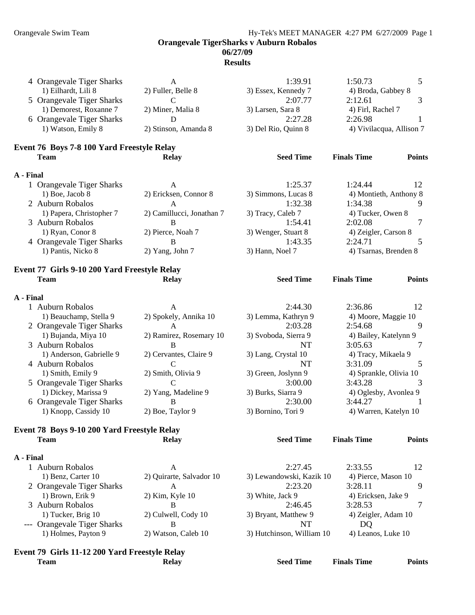#### Orangevale Swim Team **Hy-Tek's MEET MANAGER** 4:27 PM 6/27/2009 Page 1

**Orangevale TigerSharks v Auburn Robalos** 

## **06/27/09**

|           | Event 79 Girls 11-12 200 Yard Freestyle Relay<br><b>Team</b> | <b>Relay</b>              | <b>Seed Time</b>          | <b>Finals Time</b>       | <b>Points</b> |
|-----------|--------------------------------------------------------------|---------------------------|---------------------------|--------------------------|---------------|
|           |                                                              |                           |                           |                          |               |
|           | 1) Holmes, Payton 9                                          | 2) Watson, Caleb 10       | 3) Hutchinson, William 10 | 4) Leanos, Luke 10       |               |
|           | --- Orangevale Tiger Sharks                                  | B                         | NT                        | DQ                       |               |
|           | 1) Tucker, Brig 10                                           | 2) Culwell, Cody 10       | 3) Bryant, Matthew 9      | 4) Zeigler, Adam 10      |               |
|           | 3 Auburn Robalos                                             | B                         | 2:46.45                   | 3:28.53                  | 7             |
|           | 1) Brown, Erik 9                                             | 2) Kim, Kyle 10           | 3) White, Jack 9          | 4) Ericksen, Jake 9      |               |
|           | 2 Orangevale Tiger Sharks                                    | А                         | 2:23.20                   | 3:28.11                  | 9             |
|           | 1) Benz, Carter 10                                           | 2) Quirarte, Salvador 10  | 3) Lewandowski, Kazik 10  | 4) Pierce, Mason 10      |               |
|           | 1 Auburn Robalos                                             | A                         | 2:27.45                   | 2:33.55                  | 12            |
| A - Final |                                                              |                           |                           |                          |               |
|           | <b>Team</b>                                                  | <b>Relay</b>              | <b>Seed Time</b>          | <b>Finals Time</b>       | <b>Points</b> |
|           | Event 78 Boys 9-10 200 Yard Freestyle Relay                  |                           |                           |                          |               |
|           |                                                              |                           |                           |                          |               |
|           | 1) Knopp, Cassidy 10                                         | 2) Boe, Taylor 9          | 3) Bornino, Tori 9        | 4) Warren, Katelyn 10    |               |
|           | 6 Orangevale Tiger Sharks                                    | B                         | 2:30.00                   | 3:44.27                  |               |
|           | 1) Dickey, Marissa 9                                         | 2) Yang, Madeline 9       | 3) Burks, Siarra 9        | 4) Oglesby, Avonlea 9    |               |
|           | 5 Orangevale Tiger Sharks                                    | $\mathsf{C}$              | 3:00.00                   | 3:43.28                  | 3             |
|           | 1) Smith, Emily 9                                            | 2) Smith, Olivia 9        | 3) Green, Joslynn 9       | 4) Sprankle, Olivia 10   |               |
|           | 4 Auburn Robalos                                             | $\mathbf C$               | <b>NT</b>                 | 3:31.09                  | 5             |
|           | 1) Anderson, Gabrielle 9                                     | 2) Cervantes, Claire 9    | 3) Lang, Crystal 10       | 4) Tracy, Mikaela 9      |               |
|           | 3 Auburn Robalos                                             | B                         | NT                        | 3:05.63                  | 7             |
|           | 1) Bujanda, Miya 10                                          | 2) Ramirez, Rosemary 10   | 3) Svoboda, Sierra 9      | 4) Bailey, Katelynn 9    |               |
|           | 2 Orangevale Tiger Sharks                                    | $\mathbf{A}$              | 2:03.28                   | 2:54.68                  | 9             |
|           | 1) Beauchamp, Stella 9                                       | 2) Spokely, Annika 10     | 3) Lemma, Kathryn 9       | 4) Moore, Maggie 10      |               |
|           | 1 Auburn Robalos                                             | A                         | 2:44.30                   | 2:36.86                  | 12            |
| A - Final |                                                              |                           |                           |                          |               |
|           |                                                              |                           |                           |                          |               |
|           | <b>Team</b>                                                  | <b>Relay</b>              | <b>Seed Time</b>          | <b>Finals Time</b>       | <b>Points</b> |
|           | Event 77 Girls 9-10 200 Yard Freestyle Relay                 |                           |                           |                          |               |
|           |                                                              |                           |                           |                          |               |
|           | 1) Pantis, Nicko 8                                           | 2) Yang, John 7           | 3) Hann, Noel 7           | 4) Tsarnas, Brenden 8    |               |
|           | 4 Orangevale Tiger Sharks                                    | B                         | 1:43.35                   | 2:24.71                  | 5             |
|           | 1) Ryan, Conor 8                                             | 2) Pierce, Noah 7         | 3) Wenger, Stuart 8       | 4) Zeigler, Carson 8     |               |
|           | 3 Auburn Robalos                                             | B                         | 1:54.41                   | 2:02.08                  | 7             |
|           | 1) Papera, Christopher 7                                     | 2) Camillucci, Jonathan 7 | 3) Tracy, Caleb 7         | 4) Tucker, Owen 8        |               |
|           | 2 Auburn Robalos                                             | $\mathbf{A}$              | 1:32.38                   | 1:34.38                  | 9             |
|           | 1) Boe, Jacob 8                                              | 2) Ericksen, Connor 8     | 3) Simmons, Lucas 8       | 4) Montieth, Anthony 8   |               |
| A - Final | 1 Orangevale Tiger Sharks                                    | A                         | 1:25.37                   | 1:24.44                  | 12            |
|           |                                                              |                           |                           |                          |               |
|           | Event 76 Boys 7-8 100 Yard Freestyle Relay<br><b>Team</b>    | <b>Relay</b>              | <b>Seed Time</b>          | <b>Finals Time</b>       | <b>Points</b> |
|           |                                                              |                           |                           |                          |               |
|           | 1) Watson, Emily 8                                           | 2) Stinson, Amanda 8      | 3) Del Rio, Quinn 8       | 4) Vivilacqua, Allison 7 |               |
|           | 6 Orangevale Tiger Sharks                                    | D                         | 2:27.28                   | 2:26.98                  | 1             |
|           | 1) Demorest, Roxanne 7                                       | 2) Miner, Malia 8         | 3) Larsen, Sara 8         | 4) Firl, Rachel 7        |               |
|           | 5 Orangevale Tiger Sharks                                    | $\mathcal{C}$             | 2:07.77                   | 2:12.61                  | 3             |
|           | 1) Eilhardt, Lili 8                                          | 2) Fuller, Belle 8        | 3) Essex, Kennedy 7       | 4) Broda, Gabbey 8       |               |
|           | 4 Orangevale Tiger Sharks                                    | A                         | 1:39.91                   | 1:50.73                  | 5             |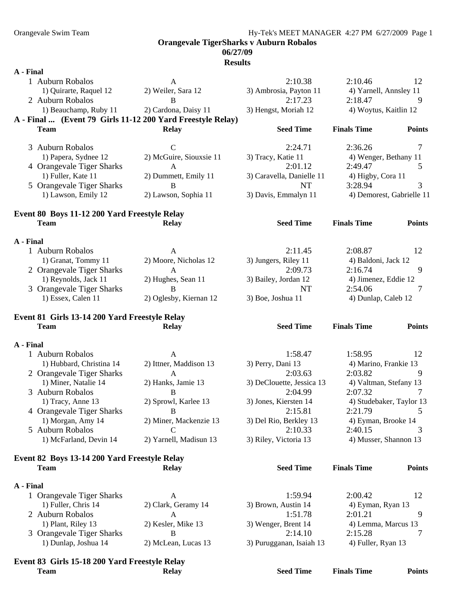## **06/27/09**

| A - Final |                                                |                                                            |                                      |                                     |               |
|-----------|------------------------------------------------|------------------------------------------------------------|--------------------------------------|-------------------------------------|---------------|
|           | 1 Auburn Robalos                               | A                                                          | 2:10.38                              | 2:10.46                             | 12            |
|           | 1) Quirarte, Raquel 12                         | 2) Weiler, Sara 12                                         | 3) Ambrosia, Payton 11               | 4) Yarnell, Annsley 11              |               |
|           | 2 Auburn Robalos                               | B                                                          | 2:17.23                              | 2:18.47                             | 9             |
|           | 1) Beauchamp, Ruby 11                          | 2) Cardona, Daisy 11                                       | 3) Hengst, Moriah 12                 | 4) Woytus, Kaitlin 12               |               |
|           |                                                | A - Final  (Event 79 Girls 11-12 200 Yard Freestyle Relay) |                                      |                                     |               |
|           | <b>Team</b>                                    | <b>Relay</b>                                               | <b>Seed Time</b>                     | <b>Finals Time</b>                  | <b>Points</b> |
|           |                                                |                                                            |                                      |                                     |               |
|           | 3 Auburn Robalos                               | $\mathsf{C}$                                               | 2:24.71                              | 2:36.26                             | 7             |
|           | 1) Papera, Sydnee 12                           | 2) McGuire, Siouxsie 11                                    | 3) Tracy, Katie 11                   | 4) Wenger, Bethany 11               |               |
|           | 4 Orangevale Tiger Sharks                      | A                                                          | 2:01.12                              | 2:49.47                             | 5             |
|           | 1) Fuller, Kate 11                             | 2) Dummett, Emily 11                                       | 3) Caravella, Danielle 11            | 4) Higby, Cora 11                   |               |
|           | 5 Orangevale Tiger Sharks                      | B                                                          | <b>NT</b>                            | 3:28.94                             | 3             |
|           | 1) Lawson, Emily 12                            | 2) Lawson, Sophia 11                                       | 3) Davis, Emmalyn 11                 | 4) Demorest, Gabrielle 11           |               |
|           | Event 80 Boys 11-12 200 Yard Freestyle Relay   |                                                            |                                      |                                     |               |
|           | <b>Team</b>                                    | <b>Relay</b>                                               | <b>Seed Time</b>                     | <b>Finals Time</b>                  | <b>Points</b> |
|           |                                                |                                                            |                                      |                                     |               |
| A - Final |                                                |                                                            |                                      |                                     |               |
|           | 1 Auburn Robalos                               | A                                                          | 2:11.45                              | 2:08.87                             | 12            |
|           | 1) Granat, Tommy 11                            | 2) Moore, Nicholas 12                                      | 3) Jungers, Riley 11                 | 4) Baldoni, Jack 12                 |               |
|           | 2 Orangevale Tiger Sharks                      | A                                                          | 2:09.73                              | 2:16.74                             | 9             |
|           | 1) Reynolds, Jack 11                           | 2) Hughes, Sean 11                                         | 3) Bailey, Jordan 12                 | 4) Jimenez, Eddie 12                |               |
|           | 3 Orangevale Tiger Sharks                      | B                                                          | NT                                   | 2:54.06                             | 7             |
|           | 1) Essex, Calen 11                             | 2) Oglesby, Kiernan 12                                     | 3) Boe, Joshua 11                    | 4) Dunlap, Caleb 12                 |               |
|           |                                                |                                                            |                                      |                                     |               |
|           |                                                |                                                            |                                      |                                     |               |
|           | Event 81 Girls 13-14 200 Yard Freestyle Relay  |                                                            |                                      |                                     |               |
|           | <b>Team</b>                                    | <b>Relay</b>                                               | <b>Seed Time</b>                     | <b>Finals Time</b>                  | <b>Points</b> |
|           |                                                |                                                            |                                      |                                     |               |
| A - Final |                                                |                                                            |                                      |                                     |               |
|           | 1 Auburn Robalos                               | A                                                          | 1:58.47                              | 1:58.95                             | 12            |
|           | 1) Hubbard, Christina 14                       | 2) Ittner, Maddison 13                                     | 3) Perry, Dani 13                    | 4) Marino, Frankie 13               | 9             |
|           | 2 Orangevale Tiger Sharks                      | A                                                          | 2:03.63                              | 2:03.82                             |               |
|           | 1) Miner, Natalie 14<br>3 Auburn Robalos       | 2) Hanks, Jamie 13<br>$\mathbf B$                          | 3) DeClouette, Jessica 13<br>2:04.99 | 4) Valtman, Stefany 13<br>2:07.32   | 7             |
|           | 1) Tracy, Anne 13                              |                                                            | 3) Jones, Kiersten 14                |                                     |               |
|           |                                                | 2) Sprowl, Karlee 13<br>B                                  | 2:15.81                              | 4) Studebaker, Taylor 13<br>2:21.79 | 5             |
|           | 4 Orangevale Tiger Sharks<br>1) Morgan, Amy 14 |                                                            | 3) Del Rio, Berkley 13               | 4) Eyman, Brooke 14                 |               |
|           | 5 Auburn Robalos                               | 2) Miner, Mackenzie 13<br>$\mathcal{C}$                    | 2:10.33                              | 2:40.15                             | 3             |
|           | 1) McFarland, Devin 14                         | 2) Yarnell, Madisun 13                                     | 3) Riley, Victoria 13                | 4) Musser, Shannon 13               |               |
|           |                                                |                                                            |                                      |                                     |               |
|           | Event 82 Boys 13-14 200 Yard Freestyle Relay   |                                                            |                                      |                                     |               |
|           | <b>Team</b>                                    | <b>Relay</b>                                               | <b>Seed Time</b>                     | <b>Finals Time</b>                  | <b>Points</b> |
|           |                                                |                                                            |                                      |                                     |               |
| A - Final |                                                |                                                            |                                      |                                     |               |
|           | 1 Orangevale Tiger Sharks                      | $\mathbf{A}$                                               | 1:59.94                              | 2:00.42                             | 12            |
|           | 1) Fuller, Chris 14                            | 2) Clark, Geramy 14                                        | 3) Brown, Austin 14                  | 4) Eyman, Ryan 13                   |               |
|           | 2 Auburn Robalos                               | A                                                          | 1:51.78                              | 2:01.21                             | 9             |
|           | 1) Plant, Riley 13                             | 2) Kesler, Mike 13                                         | 3) Wenger, Brent 14                  | 4) Lemma, Marcus 13                 |               |
|           | 3 Orangevale Tiger Sharks                      | B                                                          | 2:14.10                              | 2:15.28                             | 7             |
|           | 1) Dunlap, Joshua 14                           | 2) McLean, Lucas 13                                        | 3) Purugganan, Isaiah 13             | 4) Fuller, Ryan 13                  |               |
|           | Event 83 Girls 15-18 200 Yard Freestyle Relay  |                                                            |                                      |                                     |               |